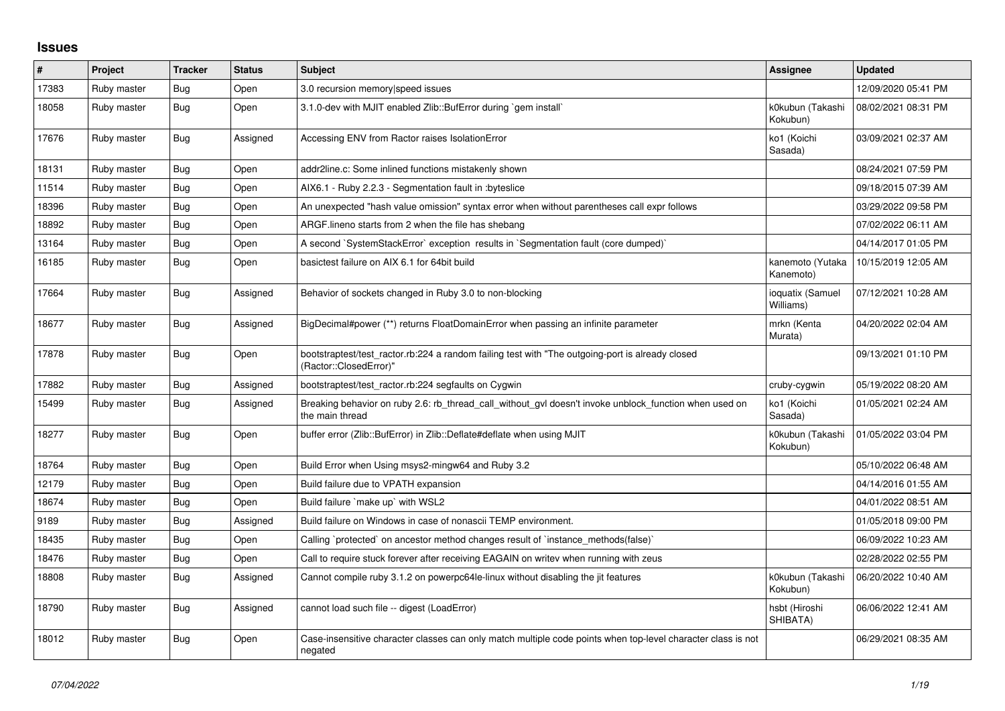## **Issues**

| #     | Project     | <b>Tracker</b> | <b>Status</b> | <b>Subject</b>                                                                                                             | Assignee                      | <b>Updated</b>      |
|-------|-------------|----------------|---------------|----------------------------------------------------------------------------------------------------------------------------|-------------------------------|---------------------|
| 17383 | Ruby master | Bug            | Open          | 3.0 recursion memory speed issues                                                                                          |                               | 12/09/2020 05:41 PM |
| 18058 | Ruby master | <b>Bug</b>     | Open          | 3.1.0-dev with MJIT enabled Zlib::BufError during `gem install`                                                            | k0kubun (Takashi<br>Kokubun)  | 08/02/2021 08:31 PM |
| 17676 | Ruby master | Bug            | Assigned      | Accessing ENV from Ractor raises IsolationError                                                                            | ko1 (Koichi<br>Sasada)        | 03/09/2021 02:37 AM |
| 18131 | Ruby master | Bug            | Open          | addr2line.c: Some inlined functions mistakenly shown                                                                       |                               | 08/24/2021 07:59 PM |
| 11514 | Ruby master | Bug            | Open          | AIX6.1 - Ruby 2.2.3 - Segmentation fault in : byteslice                                                                    |                               | 09/18/2015 07:39 AM |
| 18396 | Ruby master | <b>Bug</b>     | Open          | An unexpected "hash value omission" syntax error when without parentheses call expr follows                                |                               | 03/29/2022 09:58 PM |
| 18892 | Ruby master | Bug            | Open          | ARGF. lineno starts from 2 when the file has shebang                                                                       |                               | 07/02/2022 06:11 AM |
| 13164 | Ruby master | Bug            | Open          | A second `SystemStackError` exception results in `Segmentation fault (core dumped)`                                        |                               | 04/14/2017 01:05 PM |
| 16185 | Ruby master | Bug            | Open          | basictest failure on AIX 6.1 for 64bit build                                                                               | kanemoto (Yutaka<br>Kanemoto) | 10/15/2019 12:05 AM |
| 17664 | Ruby master | <b>Bug</b>     | Assigned      | Behavior of sockets changed in Ruby 3.0 to non-blocking                                                                    | ioquatix (Samuel<br>Williams) | 07/12/2021 10:28 AM |
| 18677 | Ruby master | Bug            | Assigned      | BigDecimal#power (**) returns FloatDomainError when passing an infinite parameter                                          | mrkn (Kenta<br>Murata)        | 04/20/2022 02:04 AM |
| 17878 | Ruby master | <b>Bug</b>     | Open          | bootstraptest/test_ractor.rb:224 a random failing test with "The outgoing-port is already closed<br>(Ractor::ClosedError)" |                               | 09/13/2021 01:10 PM |
| 17882 | Ruby master | <b>Bug</b>     | Assigned      | bootstraptest/test ractor.rb:224 segfaults on Cygwin                                                                       | cruby-cygwin                  | 05/19/2022 08:20 AM |
| 15499 | Ruby master | Bug            | Assigned      | Breaking behavior on ruby 2.6: rb_thread_call_without_gvl doesn't invoke unblock_function when used on<br>the main thread  | ko1 (Koichi<br>Sasada)        | 01/05/2021 02:24 AM |
| 18277 | Ruby master | Bug            | Open          | buffer error (Zlib::BufError) in Zlib::Deflate#deflate when using MJIT                                                     | k0kubun (Takashi<br>Kokubun)  | 01/05/2022 03:04 PM |
| 18764 | Ruby master | <b>Bug</b>     | Open          | Build Error when Using msys2-mingw64 and Ruby 3.2                                                                          |                               | 05/10/2022 06:48 AM |
| 12179 | Ruby master | Bug            | Open          | Build failure due to VPATH expansion                                                                                       |                               | 04/14/2016 01:55 AM |
| 18674 | Ruby master | Bug            | Open          | Build failure `make up` with WSL2                                                                                          |                               | 04/01/2022 08:51 AM |
| 9189  | Ruby master | Bug            | Assigned      | Build failure on Windows in case of nonascii TEMP environment.                                                             |                               | 01/05/2018 09:00 PM |
| 18435 | Ruby master | <b>Bug</b>     | Open          | Calling `protected` on ancestor method changes result of `instance_methods(false)`                                         |                               | 06/09/2022 10:23 AM |
| 18476 | Ruby master | <b>Bug</b>     | Open          | Call to require stuck forever after receiving EAGAIN on writev when running with zeus                                      |                               | 02/28/2022 02:55 PM |
| 18808 | Ruby master | Bug            | Assigned      | Cannot compile ruby 3.1.2 on powerpc64le-linux without disabling the jit features                                          | k0kubun (Takashi<br>Kokubun)  | 06/20/2022 10:40 AM |
| 18790 | Ruby master | Bug            | Assigned      | cannot load such file -- digest (LoadError)                                                                                | hsbt (Hiroshi<br>SHIBATA)     | 06/06/2022 12:41 AM |
| 18012 | Ruby master | <b>Bug</b>     | Open          | Case-insensitive character classes can only match multiple code points when top-level character class is not<br>negated    |                               | 06/29/2021 08:35 AM |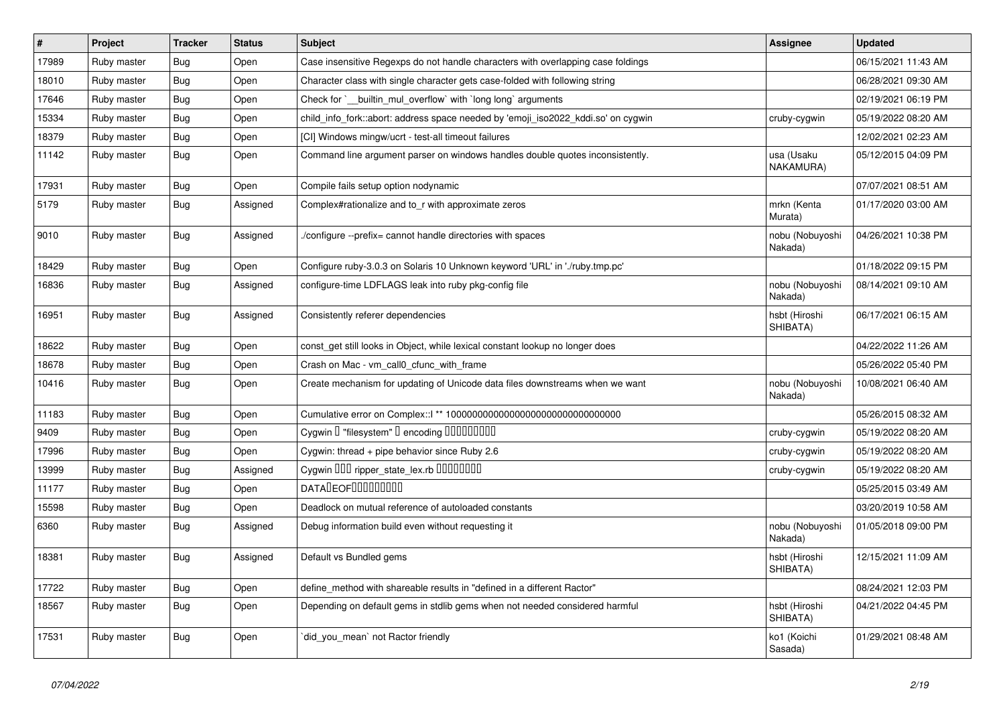| $\sharp$ | Project     | <b>Tracker</b> | <b>Status</b> | <b>Subject</b>                                                                    | <b>Assignee</b>            | <b>Updated</b>      |
|----------|-------------|----------------|---------------|-----------------------------------------------------------------------------------|----------------------------|---------------------|
| 17989    | Ruby master | <b>Bug</b>     | Open          | Case insensitive Regexps do not handle characters with overlapping case foldings  |                            | 06/15/2021 11:43 AM |
| 18010    | Ruby master | <b>Bug</b>     | Open          | Character class with single character gets case-folded with following string      |                            | 06/28/2021 09:30 AM |
| 17646    | Ruby master | <b>Bug</b>     | Open          | Check for `__builtin_mul_overflow` with `long long` arguments                     |                            | 02/19/2021 06:19 PM |
| 15334    | Ruby master | <b>Bug</b>     | Open          | child_info_fork::abort: address space needed by 'emoji_iso2022_kddi.so' on cygwin | cruby-cygwin               | 05/19/2022 08:20 AM |
| 18379    | Ruby master | <b>Bug</b>     | Open          | [CI] Windows mingw/ucrt - test-all timeout failures                               |                            | 12/02/2021 02:23 AM |
| 11142    | Ruby master | Bug            | Open          | Command line argument parser on windows handles double quotes inconsistently.     | usa (Usaku<br>NAKAMURA)    | 05/12/2015 04:09 PM |
| 17931    | Ruby master | <b>Bug</b>     | Open          | Compile fails setup option nodynamic                                              |                            | 07/07/2021 08:51 AM |
| 5179     | Ruby master | <b>Bug</b>     | Assigned      | Complex#rationalize and to r with approximate zeros                               | mrkn (Kenta<br>Murata)     | 01/17/2020 03:00 AM |
| 9010     | Ruby master | <b>Bug</b>     | Assigned      | /configure --prefix= cannot handle directories with spaces                        | nobu (Nobuyoshi<br>Nakada) | 04/26/2021 10:38 PM |
| 18429    | Ruby master | <b>Bug</b>     | Open          | Configure ruby-3.0.3 on Solaris 10 Unknown keyword 'URL' in './ruby.tmp.pc'       |                            | 01/18/2022 09:15 PM |
| 16836    | Ruby master | <b>Bug</b>     | Assigned      | configure-time LDFLAGS leak into ruby pkg-config file                             | nobu (Nobuyoshi<br>Nakada) | 08/14/2021 09:10 AM |
| 16951    | Ruby master | <b>Bug</b>     | Assigned      | Consistently referer dependencies                                                 | hsbt (Hiroshi<br>SHIBATA)  | 06/17/2021 06:15 AM |
| 18622    | Ruby master | <b>Bug</b>     | Open          | const_get still looks in Object, while lexical constant lookup no longer does     |                            | 04/22/2022 11:26 AM |
| 18678    | Ruby master | <b>Bug</b>     | Open          | Crash on Mac - vm_call0_cfunc_with_frame                                          |                            | 05/26/2022 05:40 PM |
| 10416    | Ruby master | Bug            | Open          | Create mechanism for updating of Unicode data files downstreams when we want      | nobu (Nobuyoshi<br>Nakada) | 10/08/2021 06:40 AM |
| 11183    | Ruby master | Bug            | Open          |                                                                                   |                            | 05/26/2015 08:32 AM |
| 9409     | Ruby master | Bug            | Open          | Cygwin I "filesystem" I encoding IIIIIIIIIIIII                                    | cruby-cygwin               | 05/19/2022 08:20 AM |
| 17996    | Ruby master | <b>Bug</b>     | Open          | Cygwin: thread + pipe behavior since Ruby 2.6                                     | cruby-cygwin               | 05/19/2022 08:20 AM |
| 13999    | Ruby master | Bug            | Assigned      | Cygwin OOD ripper_state_lex.rb 00000000                                           | cruby-cygwin               | 05/19/2022 08:20 AM |
| 11177    | Ruby master | <b>Bug</b>     | Open          | <b>DATADEOFOOOOOOOO</b>                                                           |                            | 05/25/2015 03:49 AM |
| 15598    | Ruby master | <b>Bug</b>     | Open          | Deadlock on mutual reference of autoloaded constants                              |                            | 03/20/2019 10:58 AM |
| 6360     | Ruby master | <b>Bug</b>     | Assigned      | Debug information build even without requesting it                                | nobu (Nobuyoshi<br>Nakada) | 01/05/2018 09:00 PM |
| 18381    | Ruby master | <b>Bug</b>     | Assigned      | Default vs Bundled gems                                                           | hsbt (Hiroshi<br>SHIBATA)  | 12/15/2021 11:09 AM |
| 17722    | Ruby master | <b>Bug</b>     | Open          | define_method with shareable results in "defined in a different Ractor"           |                            | 08/24/2021 12:03 PM |
| 18567    | Ruby master | <b>Bug</b>     | Open          | Depending on default gems in stdlib gems when not needed considered harmful       | hsbt (Hiroshi<br>SHIBATA)  | 04/21/2022 04:45 PM |
| 17531    | Ruby master | <b>Bug</b>     | Open          | did_you_mean` not Ractor friendly                                                 | ko1 (Koichi<br>Sasada)     | 01/29/2021 08:48 AM |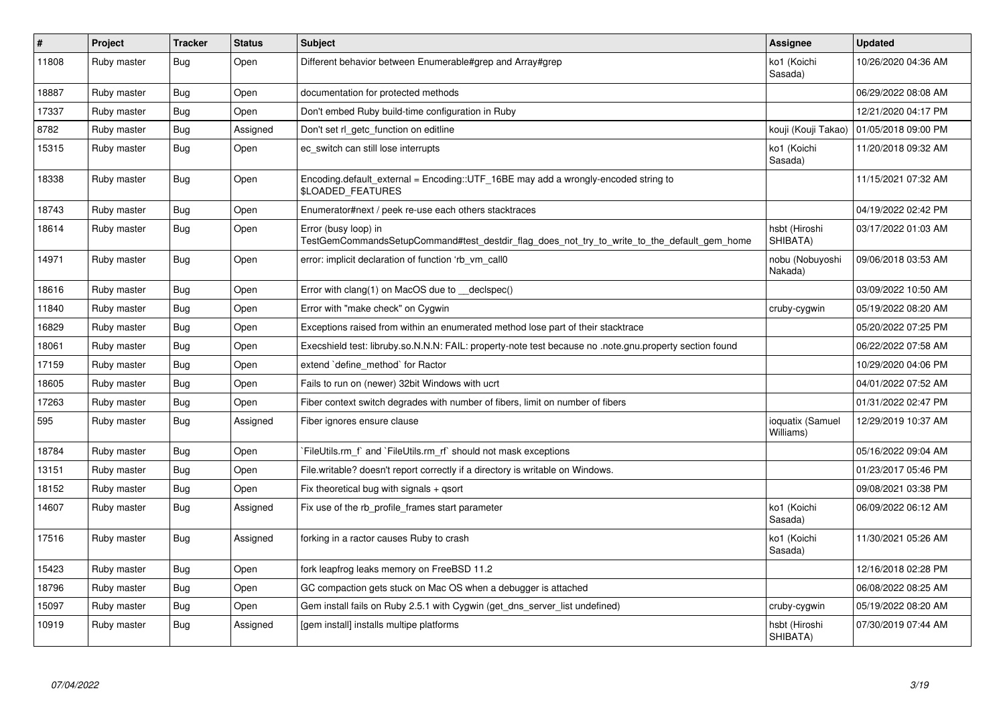| $\#$  | Project     | <b>Tracker</b> | <b>Status</b> | <b>Subject</b>                                                                                                      | Assignee                      | <b>Updated</b>      |
|-------|-------------|----------------|---------------|---------------------------------------------------------------------------------------------------------------------|-------------------------------|---------------------|
| 11808 | Ruby master | Bug            | Open          | Different behavior between Enumerable#grep and Array#grep                                                           | ko1 (Koichi<br>Sasada)        | 10/26/2020 04:36 AM |
| 18887 | Ruby master | Bug            | Open          | documentation for protected methods                                                                                 |                               | 06/29/2022 08:08 AM |
| 17337 | Ruby master | Bug            | Open          | Don't embed Ruby build-time configuration in Ruby                                                                   |                               | 12/21/2020 04:17 PM |
| 8782  | Ruby master | <b>Bug</b>     | Assigned      | Don't set rl_getc_function on editline                                                                              | kouji (Kouji Takao)           | 01/05/2018 09:00 PM |
| 15315 | Ruby master | Bug            | Open          | ec_switch can still lose interrupts                                                                                 | ko1 (Koichi<br>Sasada)        | 11/20/2018 09:32 AM |
| 18338 | Ruby master | <b>Bug</b>     | Open          | Encoding.default_external = Encoding::UTF_16BE may add a wrongly-encoded string to<br><b>\$LOADED FEATURES</b>      |                               | 11/15/2021 07:32 AM |
| 18743 | Ruby master | Bug            | Open          | Enumerator#next / peek re-use each others stacktraces                                                               |                               | 04/19/2022 02:42 PM |
| 18614 | Ruby master | <b>Bug</b>     | Open          | Error (busy loop) in<br>TestGemCommandsSetupCommand#test_destdir_flag_does_not_try_to_write_to_the_default_gem_home | hsbt (Hiroshi<br>SHIBATA)     | 03/17/2022 01:03 AM |
| 14971 | Ruby master | <b>Bug</b>     | Open          | error: implicit declaration of function 'rb vm call0                                                                | nobu (Nobuyoshi<br>Nakada)    | 09/06/2018 03:53 AM |
| 18616 | Ruby master | <b>Bug</b>     | Open          | Error with clang(1) on MacOS due to declspec()                                                                      |                               | 03/09/2022 10:50 AM |
| 11840 | Ruby master | Bug            | Open          | Error with "make check" on Cygwin                                                                                   | cruby-cygwin                  | 05/19/2022 08:20 AM |
| 16829 | Ruby master | <b>Bug</b>     | Open          | Exceptions raised from within an enumerated method lose part of their stacktrace                                    |                               | 05/20/2022 07:25 PM |
| 18061 | Ruby master | <b>Bug</b>     | Open          | Execshield test: libruby.so.N.N.N: FAIL: property-note test because no .note.gnu.property section found             |                               | 06/22/2022 07:58 AM |
| 17159 | Ruby master | <b>Bug</b>     | Open          | extend `define method` for Ractor                                                                                   |                               | 10/29/2020 04:06 PM |
| 18605 | Ruby master | <b>Bug</b>     | Open          | Fails to run on (newer) 32bit Windows with ucrt                                                                     |                               | 04/01/2022 07:52 AM |
| 17263 | Ruby master | <b>Bug</b>     | Open          | Fiber context switch degrades with number of fibers, limit on number of fibers                                      |                               | 01/31/2022 02:47 PM |
| 595   | Ruby master | <b>Bug</b>     | Assigned      | Fiber ignores ensure clause                                                                                         | ioquatix (Samuel<br>Williams) | 12/29/2019 10:37 AM |
| 18784 | Ruby master | Bug            | Open          | FileUtils.rm f and `FileUtils.rm rf should not mask exceptions                                                      |                               | 05/16/2022 09:04 AM |
| 13151 | Ruby master | Bug            | Open          | File writable? doesn't report correctly if a directory is writable on Windows.                                      |                               | 01/23/2017 05:46 PM |
| 18152 | Ruby master | Bug            | Open          | Fix theoretical bug with signals $+$ qsort                                                                          |                               | 09/08/2021 03:38 PM |
| 14607 | Ruby master | Bug            | Assigned      | Fix use of the rb profile frames start parameter                                                                    | ko1 (Koichi<br>Sasada)        | 06/09/2022 06:12 AM |
| 17516 | Ruby master | <b>Bug</b>     | Assigned      | forking in a ractor causes Ruby to crash                                                                            | ko1 (Koichi<br>Sasada)        | 11/30/2021 05:26 AM |
| 15423 | Ruby master | <b>Bug</b>     | Open          | fork leapfrog leaks memory on FreeBSD 11.2                                                                          |                               | 12/16/2018 02:28 PM |
| 18796 | Ruby master | <b>Bug</b>     | Open          | GC compaction gets stuck on Mac OS when a debugger is attached                                                      |                               | 06/08/2022 08:25 AM |
| 15097 | Ruby master | <b>Bug</b>     | Open          | Gem install fails on Ruby 2.5.1 with Cygwin (get_dns_server_list undefined)                                         | cruby-cygwin                  | 05/19/2022 08:20 AM |
| 10919 | Ruby master | Bug            | Assigned      | [gem install] installs multipe platforms                                                                            | hsbt (Hiroshi<br>SHIBATA)     | 07/30/2019 07:44 AM |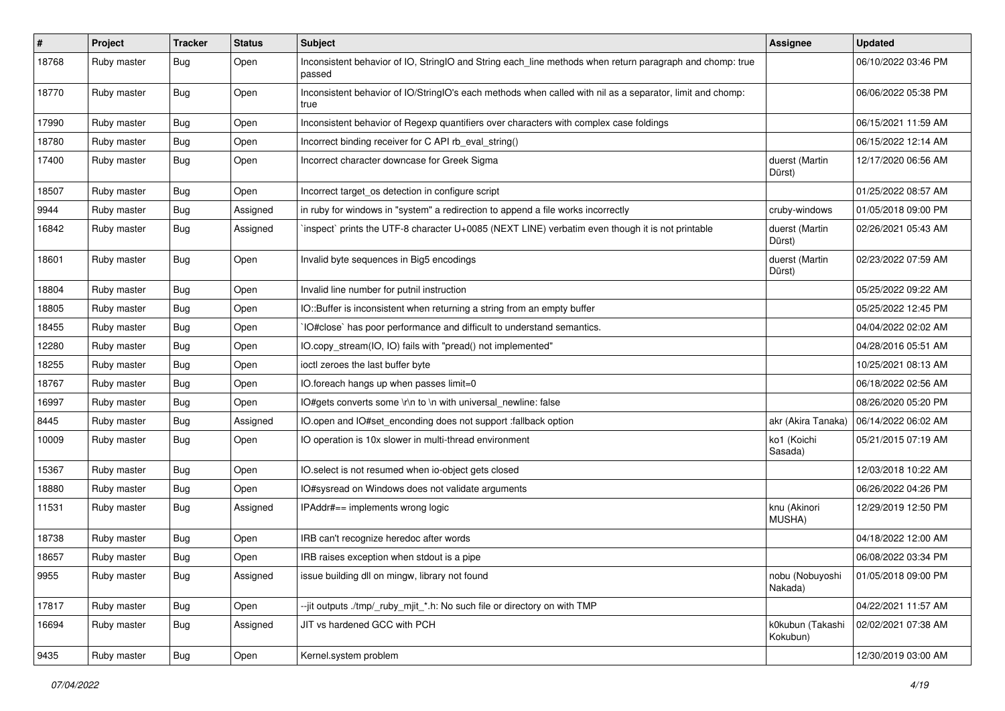| $\#$  | Project     | <b>Tracker</b> | <b>Status</b> | Subject                                                                                                            | <b>Assignee</b>              | <b>Updated</b>      |
|-------|-------------|----------------|---------------|--------------------------------------------------------------------------------------------------------------------|------------------------------|---------------------|
| 18768 | Ruby master | Bug            | Open          | Inconsistent behavior of IO, StringIO and String each_line methods when return paragraph and chomp: true<br>passed |                              | 06/10/2022 03:46 PM |
| 18770 | Ruby master | <b>Bug</b>     | Open          | Inconsistent behavior of IO/StringIO's each methods when called with nil as a separator, limit and chomp:<br>true  |                              | 06/06/2022 05:38 PM |
| 17990 | Ruby master | Bug            | Open          | Inconsistent behavior of Regexp quantifiers over characters with complex case foldings                             |                              | 06/15/2021 11:59 AM |
| 18780 | Ruby master | <b>Bug</b>     | Open          | Incorrect binding receiver for C API rb_eval_string()                                                              |                              | 06/15/2022 12:14 AM |
| 17400 | Ruby master | Bug            | Open          | Incorrect character downcase for Greek Sigma                                                                       | duerst (Martin<br>Dürst)     | 12/17/2020 06:56 AM |
| 18507 | Ruby master | <b>Bug</b>     | Open          | Incorrect target_os detection in configure script                                                                  |                              | 01/25/2022 08:57 AM |
| 9944  | Ruby master | Bug            | Assigned      | in ruby for windows in "system" a redirection to append a file works incorrectly                                   | cruby-windows                | 01/05/2018 09:00 PM |
| 16842 | Ruby master | <b>Bug</b>     | Assigned      | inspect` prints the UTF-8 character U+0085 (NEXT LINE) verbatim even though it is not printable                    | duerst (Martin<br>Dürst)     | 02/26/2021 05:43 AM |
| 18601 | Ruby master | Bug            | Open          | Invalid byte sequences in Big5 encodings                                                                           | duerst (Martin<br>Dürst)     | 02/23/2022 07:59 AM |
| 18804 | Ruby master | <b>Bug</b>     | Open          | Invalid line number for putnil instruction                                                                         |                              | 05/25/2022 09:22 AM |
| 18805 | Ruby master | <b>Bug</b>     | Open          | IO::Buffer is inconsistent when returning a string from an empty buffer                                            |                              | 05/25/2022 12:45 PM |
| 18455 | Ruby master | <b>Bug</b>     | Open          | IO#close` has poor performance and difficult to understand semantics.                                              |                              | 04/04/2022 02:02 AM |
| 12280 | Ruby master | Bug            | Open          | IO.copy_stream(IO, IO) fails with "pread() not implemented"                                                        |                              | 04/28/2016 05:51 AM |
| 18255 | Ruby master | <b>Bug</b>     | Open          | ioctl zeroes the last buffer byte                                                                                  |                              | 10/25/2021 08:13 AM |
| 18767 | Ruby master | <b>Bug</b>     | Open          | IO.foreach hangs up when passes limit=0                                                                            |                              | 06/18/2022 02:56 AM |
| 16997 | Ruby master | Bug            | Open          | IO#gets converts some \r\n to \n with universal_newline: false                                                     |                              | 08/26/2020 05:20 PM |
| 8445  | Ruby master | <b>Bug</b>     | Assigned      | IO.open and IO#set_enconding does not support :fallback option                                                     | akr (Akira Tanaka)           | 06/14/2022 06:02 AM |
| 10009 | Ruby master | Bug            | Open          | IO operation is 10x slower in multi-thread environment                                                             | ko1 (Koichi<br>Sasada)       | 05/21/2015 07:19 AM |
| 15367 | Ruby master | <b>Bug</b>     | Open          | IO.select is not resumed when io-object gets closed                                                                |                              | 12/03/2018 10:22 AM |
| 18880 | Ruby master | Bug            | Open          | IO#sysread on Windows does not validate arguments                                                                  |                              | 06/26/2022 04:26 PM |
| 11531 | Ruby master | <b>Bug</b>     | Assigned      | IPAddr#== implements wrong logic                                                                                   | knu (Akinori<br>MUSHA)       | 12/29/2019 12:50 PM |
| 18738 | Ruby master | Bug            | Open          | IRB can't recognize heredoc after words                                                                            |                              | 04/18/2022 12:00 AM |
| 18657 | Ruby master | Bug            | Open          | IRB raises exception when stdout is a pipe                                                                         |                              | 06/08/2022 03:34 PM |
| 9955  | Ruby master | Bug            | Assigned      | issue building dll on mingw, library not found                                                                     | nobu (Nobuyoshi<br>Nakada)   | 01/05/2018 09:00 PM |
| 17817 | Ruby master | Bug            | Open          | --jit outputs ./tmp/_ruby_mjit_*.h: No such file or directory on with TMP                                          |                              | 04/22/2021 11:57 AM |
| 16694 | Ruby master | <b>Bug</b>     | Assigned      | JIT vs hardened GCC with PCH                                                                                       | k0kubun (Takashi<br>Kokubun) | 02/02/2021 07:38 AM |
| 9435  | Ruby master | <b>Bug</b>     | Open          | Kernel.system problem                                                                                              |                              | 12/30/2019 03:00 AM |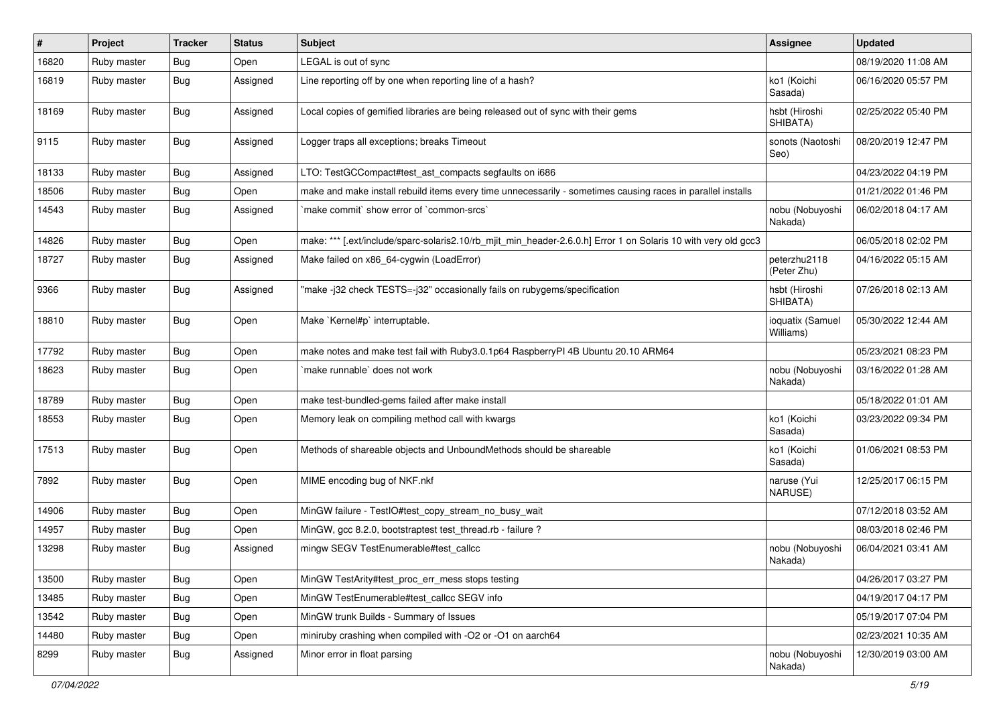| $\#$  | Project     | <b>Tracker</b> | <b>Status</b> | Subject                                                                                                        | <b>Assignee</b>               | <b>Updated</b>      |
|-------|-------------|----------------|---------------|----------------------------------------------------------------------------------------------------------------|-------------------------------|---------------------|
| 16820 | Ruby master | Bug            | Open          | LEGAL is out of sync                                                                                           |                               | 08/19/2020 11:08 AM |
| 16819 | Ruby master | <b>Bug</b>     | Assigned      | Line reporting off by one when reporting line of a hash?                                                       | ko1 (Koichi<br>Sasada)        | 06/16/2020 05:57 PM |
| 18169 | Ruby master | <b>Bug</b>     | Assigned      | Local copies of gemified libraries are being released out of sync with their gems                              | hsbt (Hiroshi<br>SHIBATA)     | 02/25/2022 05:40 PM |
| 9115  | Ruby master | <b>Bug</b>     | Assigned      | Logger traps all exceptions; breaks Timeout                                                                    | sonots (Naotoshi<br>Seo)      | 08/20/2019 12:47 PM |
| 18133 | Ruby master | Bug            | Assigned      | LTO: TestGCCompact#test_ast_compacts segfaults on i686                                                         |                               | 04/23/2022 04:19 PM |
| 18506 | Ruby master | Bug            | Open          | make and make install rebuild items every time unnecessarily - sometimes causing races in parallel installs    |                               | 01/21/2022 01:46 PM |
| 14543 | Ruby master | Bug            | Assigned      | `make commit` show error of `common-srcs`                                                                      | nobu (Nobuyoshi<br>Nakada)    | 06/02/2018 04:17 AM |
| 14826 | Ruby master | <b>Bug</b>     | Open          | make: *** [.ext/include/sparc-solaris2.10/rb_mjit_min_header-2.6.0.h] Error 1 on Solaris 10 with very old gcc3 |                               | 06/05/2018 02:02 PM |
| 18727 | Ruby master | <b>Bug</b>     | Assigned      | Make failed on x86_64-cygwin (LoadError)                                                                       | peterzhu2118<br>(Peter Zhu)   | 04/16/2022 05:15 AM |
| 9366  | Ruby master | Bug            | Assigned      | "make -j32 check TESTS=-j32" occasionally fails on rubygems/specification                                      | hsbt (Hiroshi<br>SHIBATA)     | 07/26/2018 02:13 AM |
| 18810 | Ruby master | Bug            | Open          | Make `Kernel#p` interruptable.                                                                                 | ioquatix (Samuel<br>Williams) | 05/30/2022 12:44 AM |
| 17792 | Ruby master | Bug            | Open          | make notes and make test fail with Ruby3.0.1p64 RaspberryPI 4B Ubuntu 20.10 ARM64                              |                               | 05/23/2021 08:23 PM |
| 18623 | Ruby master | Bug            | Open          | `make runnable` does not work                                                                                  | nobu (Nobuyoshi<br>Nakada)    | 03/16/2022 01:28 AM |
| 18789 | Ruby master | Bug            | Open          | make test-bundled-gems failed after make install                                                               |                               | 05/18/2022 01:01 AM |
| 18553 | Ruby master | <b>Bug</b>     | Open          | Memory leak on compiling method call with kwargs                                                               | ko1 (Koichi<br>Sasada)        | 03/23/2022 09:34 PM |
| 17513 | Ruby master | Bug            | Open          | Methods of shareable objects and UnboundMethods should be shareable                                            | ko1 (Koichi<br>Sasada)        | 01/06/2021 08:53 PM |
| 7892  | Ruby master | Bug            | Open          | MIME encoding bug of NKF.nkf                                                                                   | naruse (Yui<br>NARUSE)        | 12/25/2017 06:15 PM |
| 14906 | Ruby master | <b>Bug</b>     | Open          | MinGW failure - TestIO#test_copy_stream_no_busy_wait                                                           |                               | 07/12/2018 03:52 AM |
| 14957 | Ruby master | Bug            | Open          | MinGW, gcc 8.2.0, bootstraptest test_thread.rb - failure ?                                                     |                               | 08/03/2018 02:46 PM |
| 13298 | Ruby master | <b>Bug</b>     | Assigned      | mingw SEGV TestEnumerable#test_callcc                                                                          | nobu (Nobuyoshi<br>Nakada)    | 06/04/2021 03:41 AM |
| 13500 | Ruby master | <b>Bug</b>     | Open          | MinGW TestArity#test proc err mess stops testing                                                               |                               | 04/26/2017 03:27 PM |
| 13485 | Ruby master | <b>Bug</b>     | Open          | MinGW TestEnumerable#test_callcc SEGV info                                                                     |                               | 04/19/2017 04:17 PM |
| 13542 | Ruby master | <b>Bug</b>     | Open          | MinGW trunk Builds - Summary of Issues                                                                         |                               | 05/19/2017 07:04 PM |
| 14480 | Ruby master | Bug            | Open          | miniruby crashing when compiled with -O2 or -O1 on aarch64                                                     |                               | 02/23/2021 10:35 AM |
| 8299  | Ruby master | <b>Bug</b>     | Assigned      | Minor error in float parsing                                                                                   | nobu (Nobuyoshi<br>Nakada)    | 12/30/2019 03:00 AM |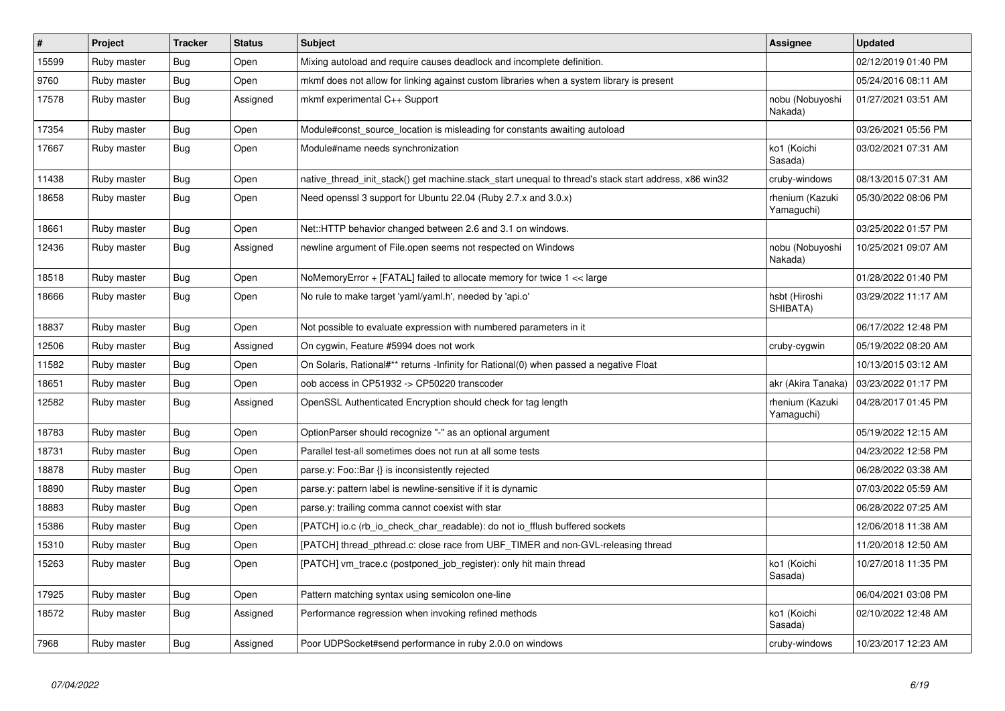| $\vert$ # | Project     | <b>Tracker</b> | <b>Status</b> | <b>Subject</b>                                                                                        | Assignee                      | <b>Updated</b>      |
|-----------|-------------|----------------|---------------|-------------------------------------------------------------------------------------------------------|-------------------------------|---------------------|
| 15599     | Ruby master | Bug            | Open          | Mixing autoload and require causes deadlock and incomplete definition.                                |                               | 02/12/2019 01:40 PM |
| 9760      | Ruby master | <b>Bug</b>     | Open          | mkmf does not allow for linking against custom libraries when a system library is present             |                               | 05/24/2016 08:11 AM |
| 17578     | Ruby master | <b>Bug</b>     | Assigned      | mkmf experimental C++ Support                                                                         | nobu (Nobuyoshi<br>Nakada)    | 01/27/2021 03:51 AM |
| 17354     | Ruby master | Bug            | Open          | Module#const source location is misleading for constants awaiting autoload                            |                               | 03/26/2021 05:56 PM |
| 17667     | Ruby master | <b>Bug</b>     | Open          | Module#name needs synchronization                                                                     | ko1 (Koichi<br>Sasada)        | 03/02/2021 07:31 AM |
| 11438     | Ruby master | Bug            | Open          | native thread init stack() get machine stack start unequal to thread's stack start address, x86 win32 | cruby-windows                 | 08/13/2015 07:31 AM |
| 18658     | Ruby master | <b>Bug</b>     | Open          | Need openssl 3 support for Ubuntu 22.04 (Ruby 2.7.x and 3.0.x)                                        | rhenium (Kazuki<br>Yamaguchi) | 05/30/2022 08:06 PM |
| 18661     | Ruby master | Bug            | Open          | Net::HTTP behavior changed between 2.6 and 3.1 on windows.                                            |                               | 03/25/2022 01:57 PM |
| 12436     | Ruby master | <b>Bug</b>     | Assigned      | newline argument of File.open seems not respected on Windows                                          | nobu (Nobuyoshi<br>Nakada)    | 10/25/2021 09:07 AM |
| 18518     | Ruby master | <b>Bug</b>     | Open          | NoMemoryError + [FATAL] failed to allocate memory for twice 1 << large                                |                               | 01/28/2022 01:40 PM |
| 18666     | Ruby master | <b>Bug</b>     | Open          | No rule to make target 'yaml/yaml.h', needed by 'api.o'                                               | hsbt (Hiroshi<br>SHIBATA)     | 03/29/2022 11:17 AM |
| 18837     | Ruby master | <b>Bug</b>     | Open          | Not possible to evaluate expression with numbered parameters in it                                    |                               | 06/17/2022 12:48 PM |
| 12506     | Ruby master | <b>Bug</b>     | Assigned      | On cygwin, Feature #5994 does not work                                                                | cruby-cygwin                  | 05/19/2022 08:20 AM |
| 11582     | Ruby master | Bug            | Open          | On Solaris, Rational#** returns -Infinity for Rational(0) when passed a negative Float                |                               | 10/13/2015 03:12 AM |
| 18651     | Ruby master | <b>Bug</b>     | Open          | oob access in CP51932 -> CP50220 transcoder                                                           | akr (Akira Tanaka)            | 03/23/2022 01:17 PM |
| 12582     | Ruby master | <b>Bug</b>     | Assigned      | OpenSSL Authenticated Encryption should check for tag length                                          | rhenium (Kazuki<br>Yamaguchi) | 04/28/2017 01:45 PM |
| 18783     | Ruby master | <b>Bug</b>     | Open          | OptionParser should recognize "-" as an optional argument                                             |                               | 05/19/2022 12:15 AM |
| 18731     | Ruby master | <b>Bug</b>     | Open          | Parallel test-all sometimes does not run at all some tests                                            |                               | 04/23/2022 12:58 PM |
| 18878     | Ruby master | <b>Bug</b>     | Open          | parse.y: Foo::Bar {} is inconsistently rejected                                                       |                               | 06/28/2022 03:38 AM |
| 18890     | Ruby master | Bug            | Open          | parse y: pattern label is newline-sensitive if it is dynamic                                          |                               | 07/03/2022 05:59 AM |
| 18883     | Ruby master | Bug            | Open          | parse.y: trailing comma cannot coexist with star                                                      |                               | 06/28/2022 07:25 AM |
| 15386     | Ruby master | <b>Bug</b>     | Open          | [PATCH] io.c (rb io check char readable): do not io fflush buffered sockets                           |                               | 12/06/2018 11:38 AM |
| 15310     | Ruby master | <b>Bug</b>     | Open          | [PATCH] thread_pthread.c: close race from UBF_TIMER and non-GVL-releasing thread                      |                               | 11/20/2018 12:50 AM |
| 15263     | Ruby master | Bug            | Open          | [PATCH] vm trace.c (postponed job register): only hit main thread                                     | ko1 (Koichi<br>Sasada)        | 10/27/2018 11:35 PM |
| 17925     | Ruby master | <b>Bug</b>     | Open          | Pattern matching syntax using semicolon one-line                                                      |                               | 06/04/2021 03:08 PM |
| 18572     | Ruby master | Bug            | Assigned      | Performance regression when invoking refined methods                                                  | ko1 (Koichi<br>Sasada)        | 02/10/2022 12:48 AM |
| 7968      | Ruby master | Bug            | Assigned      | Poor UDPSocket#send performance in ruby 2.0.0 on windows                                              | cruby-windows                 | 10/23/2017 12:23 AM |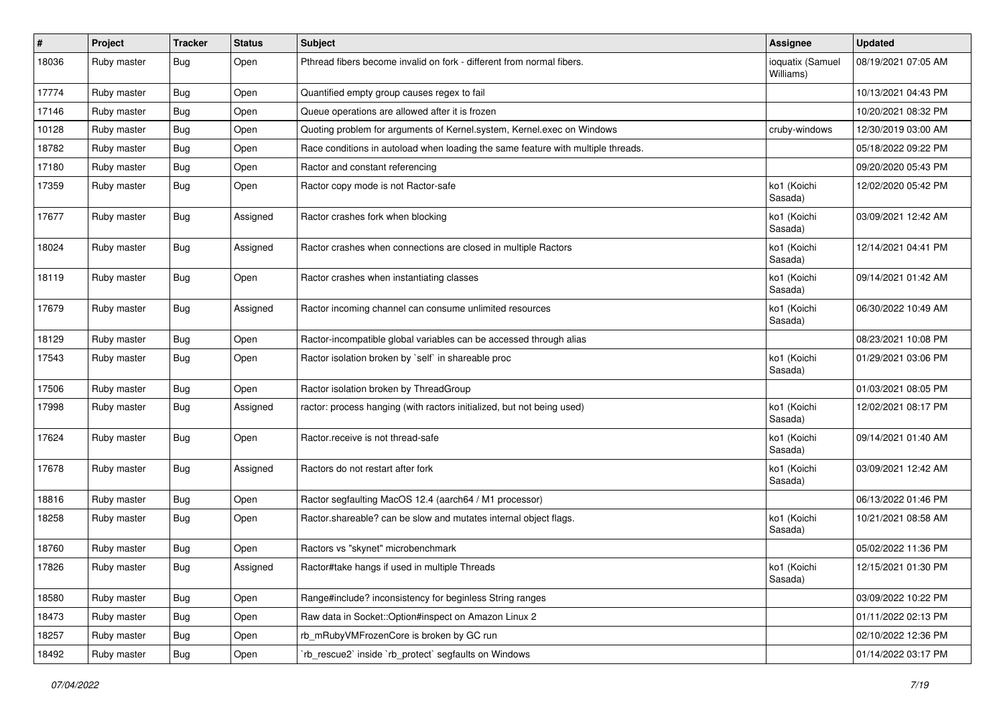| #     | Project     | <b>Tracker</b> | <b>Status</b> | <b>Subject</b>                                                                   | Assignee                      | <b>Updated</b>      |
|-------|-------------|----------------|---------------|----------------------------------------------------------------------------------|-------------------------------|---------------------|
| 18036 | Ruby master | <b>Bug</b>     | Open          | Pthread fibers become invalid on fork - different from normal fibers.            | ioquatix (Samuel<br>Williams) | 08/19/2021 07:05 AM |
| 17774 | Ruby master | <b>Bug</b>     | Open          | Quantified empty group causes regex to fail                                      |                               | 10/13/2021 04:43 PM |
| 17146 | Ruby master | Bug            | Open          | Queue operations are allowed after it is frozen                                  |                               | 10/20/2021 08:32 PM |
| 10128 | Ruby master | Bug            | Open          | Quoting problem for arguments of Kernel.system, Kernel.exec on Windows           | cruby-windows                 | 12/30/2019 03:00 AM |
| 18782 | Ruby master | <b>Bug</b>     | Open          | Race conditions in autoload when loading the same feature with multiple threads. |                               | 05/18/2022 09:22 PM |
| 17180 | Ruby master | <b>Bug</b>     | Open          | Ractor and constant referencing                                                  |                               | 09/20/2020 05:43 PM |
| 17359 | Ruby master | Bug            | Open          | Ractor copy mode is not Ractor-safe                                              | ko1 (Koichi<br>Sasada)        | 12/02/2020 05:42 PM |
| 17677 | Ruby master | Bug            | Assigned      | Ractor crashes fork when blocking                                                | ko1 (Koichi<br>Sasada)        | 03/09/2021 12:42 AM |
| 18024 | Ruby master | <b>Bug</b>     | Assigned      | Ractor crashes when connections are closed in multiple Ractors                   | ko1 (Koichi<br>Sasada)        | 12/14/2021 04:41 PM |
| 18119 | Ruby master | Bug            | Open          | Ractor crashes when instantiating classes                                        | ko1 (Koichi<br>Sasada)        | 09/14/2021 01:42 AM |
| 17679 | Ruby master | Bug            | Assigned      | Ractor incoming channel can consume unlimited resources                          | ko1 (Koichi<br>Sasada)        | 06/30/2022 10:49 AM |
| 18129 | Ruby master | <b>Bug</b>     | Open          | Ractor-incompatible global variables can be accessed through alias               |                               | 08/23/2021 10:08 PM |
| 17543 | Ruby master | <b>Bug</b>     | Open          | Ractor isolation broken by `self` in shareable proc                              | ko1 (Koichi<br>Sasada)        | 01/29/2021 03:06 PM |
| 17506 | Ruby master | <b>Bug</b>     | Open          | Ractor isolation broken by ThreadGroup                                           |                               | 01/03/2021 08:05 PM |
| 17998 | Ruby master | <b>Bug</b>     | Assigned      | ractor: process hanging (with ractors initialized, but not being used)           | ko1 (Koichi<br>Sasada)        | 12/02/2021 08:17 PM |
| 17624 | Ruby master | Bug            | Open          | Ractor.receive is not thread-safe                                                | ko1 (Koichi<br>Sasada)        | 09/14/2021 01:40 AM |
| 17678 | Ruby master | <b>Bug</b>     | Assigned      | Ractors do not restart after fork                                                | ko1 (Koichi<br>Sasada)        | 03/09/2021 12:42 AM |
| 18816 | Ruby master | Bug            | Open          | Ractor segfaulting MacOS 12.4 (aarch64 / M1 processor)                           |                               | 06/13/2022 01:46 PM |
| 18258 | Ruby master | <b>Bug</b>     | Open          | Ractor.shareable? can be slow and mutates internal object flags.                 | ko1 (Koichi<br>Sasada)        | 10/21/2021 08:58 AM |
| 18760 | Ruby master | <b>Bug</b>     | Open          | Ractors vs "skynet" microbenchmark                                               |                               | 05/02/2022 11:36 PM |
| 17826 | Ruby master | Bug            | Assigned      | Ractor#take hangs if used in multiple Threads                                    | ko1 (Koichi<br>Sasada)        | 12/15/2021 01:30 PM |
| 18580 | Ruby master | <b>Bug</b>     | Open          | Range#include? inconsistency for beginless String ranges                         |                               | 03/09/2022 10:22 PM |
| 18473 | Ruby master | Bug            | Open          | Raw data in Socket:: Option#inspect on Amazon Linux 2                            |                               | 01/11/2022 02:13 PM |
| 18257 | Ruby master | <b>Bug</b>     | Open          | rb_mRubyVMFrozenCore is broken by GC run                                         |                               | 02/10/2022 12:36 PM |
| 18492 | Ruby master | <b>Bug</b>     | Open          | 'rb_rescue2' inside 'rb_protect' segfaults on Windows                            |                               | 01/14/2022 03:17 PM |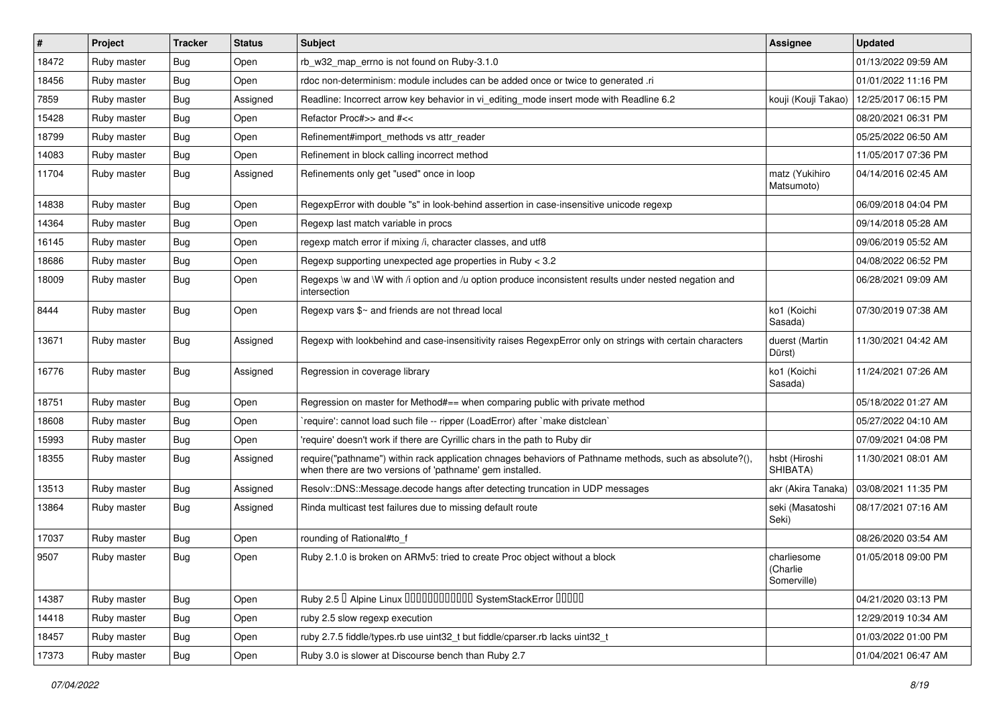| #     | Project     | <b>Tracker</b> | <b>Status</b> | Subject                                                                                                                                                             | <b>Assignee</b>                        | <b>Updated</b>      |
|-------|-------------|----------------|---------------|---------------------------------------------------------------------------------------------------------------------------------------------------------------------|----------------------------------------|---------------------|
| 18472 | Ruby master | Bug            | Open          | rb w32 map errno is not found on Ruby-3.1.0                                                                                                                         |                                        | 01/13/2022 09:59 AM |
| 18456 | Ruby master | <b>Bug</b>     | Open          | rdoc non-determinism: module includes can be added once or twice to generated .ri                                                                                   |                                        | 01/01/2022 11:16 PM |
| 7859  | Ruby master | Bug            | Assigned      | Readline: Incorrect arrow key behavior in vi_editing_mode insert mode with Readline 6.2                                                                             | kouji (Kouji Takao)                    | 12/25/2017 06:15 PM |
| 15428 | Ruby master | Bug            | Open          | Refactor Proc#>> and #<<                                                                                                                                            |                                        | 08/20/2021 06:31 PM |
| 18799 | Ruby master | <b>Bug</b>     | Open          | Refinement#import methods vs attr reader                                                                                                                            |                                        | 05/25/2022 06:50 AM |
| 14083 | Ruby master | <b>Bug</b>     | Open          | Refinement in block calling incorrect method                                                                                                                        |                                        | 11/05/2017 07:36 PM |
| 11704 | Ruby master | <b>Bug</b>     | Assigned      | Refinements only get "used" once in loop                                                                                                                            | matz (Yukihiro<br>Matsumoto)           | 04/14/2016 02:45 AM |
| 14838 | Ruby master | <b>Bug</b>     | Open          | RegexpError with double "s" in look-behind assertion in case-insensitive unicode regexp                                                                             |                                        | 06/09/2018 04:04 PM |
| 14364 | Ruby master | <b>Bug</b>     | Open          | Regexp last match variable in procs                                                                                                                                 |                                        | 09/14/2018 05:28 AM |
| 16145 | Ruby master | Bug            | Open          | regexp match error if mixing /i, character classes, and utf8                                                                                                        |                                        | 09/06/2019 05:52 AM |
| 18686 | Ruby master | Bug            | Open          | Regexp supporting unexpected age properties in Ruby < 3.2                                                                                                           |                                        | 04/08/2022 06:52 PM |
| 18009 | Ruby master | <b>Bug</b>     | Open          | Regexps \w and \W with /i option and /u option produce inconsistent results under nested negation and<br>intersection                                               |                                        | 06/28/2021 09:09 AM |
| 8444  | Ruby master | <b>Bug</b>     | Open          | Regexp vars \$~ and friends are not thread local                                                                                                                    | ko1 (Koichi<br>Sasada)                 | 07/30/2019 07:38 AM |
| 13671 | Ruby master | Bug            | Assigned      | Regexp with lookbehind and case-insensitivity raises RegexpError only on strings with certain characters                                                            | duerst (Martin<br>Dürst)               | 11/30/2021 04:42 AM |
| 16776 | Ruby master | Bug            | Assigned      | Regression in coverage library                                                                                                                                      | ko1 (Koichi<br>Sasada)                 | 11/24/2021 07:26 AM |
| 18751 | Ruby master | Bug            | Open          | Regression on master for Method#== when comparing public with private method                                                                                        |                                        | 05/18/2022 01:27 AM |
| 18608 | Ruby master | <b>Bug</b>     | Open          | 'require': cannot load such file -- ripper (LoadError) after 'make distclean'                                                                                       |                                        | 05/27/2022 04:10 AM |
| 15993 | Ruby master | <b>Bug</b>     | Open          | 'require' doesn't work if there are Cyrillic chars in the path to Ruby dir                                                                                          |                                        | 07/09/2021 04:08 PM |
| 18355 | Ruby master | <b>Bug</b>     | Assigned      | require("pathname") within rack application chnages behaviors of Pathname methods, such as absolute?(),<br>when there are two versions of 'pathname' gem installed. | hsbt (Hiroshi<br>SHIBATA)              | 11/30/2021 08:01 AM |
| 13513 | Ruby master | <b>Bug</b>     | Assigned      | Resolv::DNS::Message.decode hangs after detecting truncation in UDP messages                                                                                        | akr (Akira Tanaka)                     | 03/08/2021 11:35 PM |
| 13864 | Ruby master | <b>Bug</b>     | Assigned      | Rinda multicast test failures due to missing default route                                                                                                          | seki (Masatoshi<br>Seki)               | 08/17/2021 07:16 AM |
| 17037 | Ruby master | <b>Bug</b>     | Open          | rounding of Rational#to_f                                                                                                                                           |                                        | 08/26/2020 03:54 AM |
| 9507  | Ruby master | <b>Bug</b>     | Open          | Ruby 2.1.0 is broken on ARMv5: tried to create Proc object without a block                                                                                          | charliesome<br>(Charlie<br>Somerville) | 01/05/2018 09:00 PM |
| 14387 | Ruby master | Bug            | Open          | Ruby 2.5 <sup>D</sup> Alpine Linux 000000000000 SystemStackError 00000                                                                                              |                                        | 04/21/2020 03:13 PM |
| 14418 | Ruby master | Bug            | Open          | ruby 2.5 slow regexp execution                                                                                                                                      |                                        | 12/29/2019 10:34 AM |
| 18457 | Ruby master | Bug            | Open          | ruby 2.7.5 fiddle/types.rb use uint32_t but fiddle/cparser.rb lacks uint32_t                                                                                        |                                        | 01/03/2022 01:00 PM |
| 17373 | Ruby master | Bug            | Open          | Ruby 3.0 is slower at Discourse bench than Ruby 2.7                                                                                                                 |                                        | 01/04/2021 06:47 AM |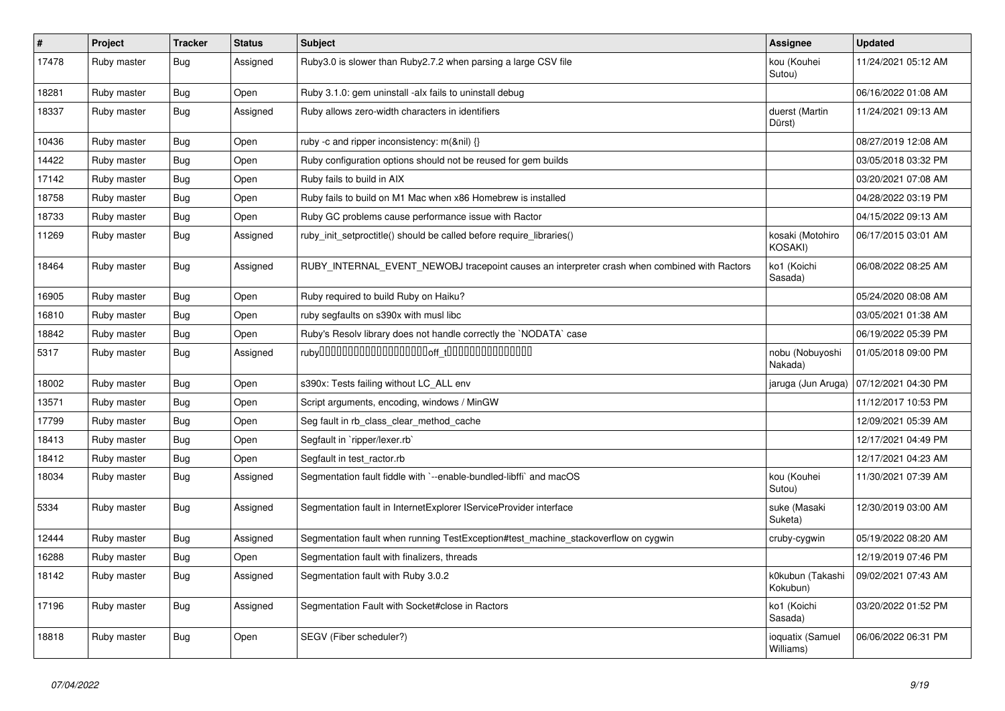| $\#$  | Project     | <b>Tracker</b> | <b>Status</b> | <b>Subject</b>                                                                               | <b>Assignee</b>               | <b>Updated</b>      |
|-------|-------------|----------------|---------------|----------------------------------------------------------------------------------------------|-------------------------------|---------------------|
| 17478 | Ruby master | Bug            | Assigned      | Ruby3.0 is slower than Ruby2.7.2 when parsing a large CSV file                               | kou (Kouhei<br>Sutou)         | 11/24/2021 05:12 AM |
| 18281 | Ruby master | <b>Bug</b>     | Open          | Ruby 3.1.0: gem uninstall -alx fails to uninstall debug                                      |                               | 06/16/2022 01:08 AM |
| 18337 | Ruby master | <b>Bug</b>     | Assigned      | Ruby allows zero-width characters in identifiers                                             | duerst (Martin<br>Dürst)      | 11/24/2021 09:13 AM |
| 10436 | Ruby master | <b>Bug</b>     | Open          | ruby -c and ripper inconsistency: m(&nil) {}                                                 |                               | 08/27/2019 12:08 AM |
| 14422 | Ruby master | <b>Bug</b>     | Open          | Ruby configuration options should not be reused for gem builds                               |                               | 03/05/2018 03:32 PM |
| 17142 | Ruby master | <b>Bug</b>     | Open          | Ruby fails to build in AIX                                                                   |                               | 03/20/2021 07:08 AM |
| 18758 | Ruby master | <b>Bug</b>     | Open          | Ruby fails to build on M1 Mac when x86 Homebrew is installed                                 |                               | 04/28/2022 03:19 PM |
| 18733 | Ruby master | <b>Bug</b>     | Open          | Ruby GC problems cause performance issue with Ractor                                         |                               | 04/15/2022 09:13 AM |
| 11269 | Ruby master | Bug            | Assigned      | ruby_init_setproctitle() should be called before require_libraries()                         | kosaki (Motohiro<br>KOSAKI)   | 06/17/2015 03:01 AM |
| 18464 | Ruby master | <b>Bug</b>     | Assigned      | RUBY_INTERNAL_EVENT_NEWOBJ tracepoint causes an interpreter crash when combined with Ractors | ko1 (Koichi<br>Sasada)        | 06/08/2022 08:25 AM |
| 16905 | Ruby master | <b>Bug</b>     | Open          | Ruby required to build Ruby on Haiku?                                                        |                               | 05/24/2020 08:08 AM |
| 16810 | Ruby master | <b>Bug</b>     | Open          | ruby segfaults on s390x with musl libc                                                       |                               | 03/05/2021 01:38 AM |
| 18842 | Ruby master | Bug            | Open          | Ruby's Resolv library does not handle correctly the `NODATA` case                            |                               | 06/19/2022 05:39 PM |
| 5317  | Ruby master | Bug            | Assigned      |                                                                                              | nobu (Nobuyoshi<br>Nakada)    | 01/05/2018 09:00 PM |
| 18002 | Ruby master | Bug            | Open          | s390x: Tests failing without LC_ALL env                                                      | jaruga (Jun Aruga)            | 07/12/2021 04:30 PM |
| 13571 | Ruby master | <b>Bug</b>     | Open          | Script arguments, encoding, windows / MinGW                                                  |                               | 11/12/2017 10:53 PM |
| 17799 | Ruby master | <b>Bug</b>     | Open          | Seg fault in rb_class_clear_method_cache                                                     |                               | 12/09/2021 05:39 AM |
| 18413 | Ruby master | <b>Bug</b>     | Open          | Segfault in `ripper/lexer.rb`                                                                |                               | 12/17/2021 04:49 PM |
| 18412 | Ruby master | Bug            | Open          | Segfault in test ractor.rb                                                                   |                               | 12/17/2021 04:23 AM |
| 18034 | Ruby master | <b>Bug</b>     | Assigned      | Segmentation fault fiddle with `--enable-bundled-libffi` and macOS                           | kou (Kouhei<br>Sutou)         | 11/30/2021 07:39 AM |
| 5334  | Ruby master | Bug            | Assigned      | Segmentation fault in InternetExplorer IServiceProvider interface                            | suke (Masaki<br>Suketa)       | 12/30/2019 03:00 AM |
| 12444 | Ruby master | <b>Bug</b>     | Assigned      | Segmentation fault when running TestException#test machine stackoverflow on cygwin           | cruby-cygwin                  | 05/19/2022 08:20 AM |
| 16288 | Ruby master | <b>Bug</b>     | Open          | Segmentation fault with finalizers, threads                                                  |                               | 12/19/2019 07:46 PM |
| 18142 | Ruby master | <b>Bug</b>     | Assigned      | Segmentation fault with Ruby 3.0.2                                                           | k0kubun (Takashi<br>Kokubun)  | 09/02/2021 07:43 AM |
| 17196 | Ruby master | <b>Bug</b>     | Assigned      | Segmentation Fault with Socket#close in Ractors                                              | ko1 (Koichi<br>Sasada)        | 03/20/2022 01:52 PM |
| 18818 | Ruby master | Bug            | Open          | SEGV (Fiber scheduler?)                                                                      | ioquatix (Samuel<br>Williams) | 06/06/2022 06:31 PM |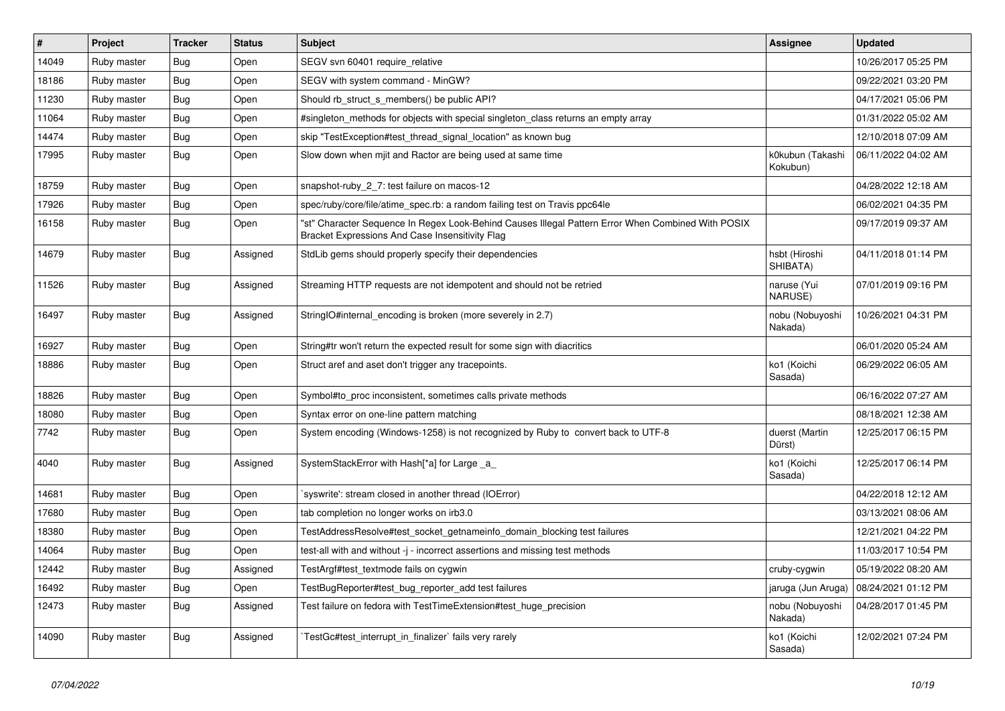| $\sharp$ | Project     | <b>Tracker</b> | <b>Status</b> | <b>Subject</b>                                                                                                                                        | <b>Assignee</b>              | <b>Updated</b>      |
|----------|-------------|----------------|---------------|-------------------------------------------------------------------------------------------------------------------------------------------------------|------------------------------|---------------------|
| 14049    | Ruby master | <b>Bug</b>     | Open          | SEGV svn 60401 require_relative                                                                                                                       |                              | 10/26/2017 05:25 PM |
| 18186    | Ruby master | Bug            | Open          | SEGV with system command - MinGW?                                                                                                                     |                              | 09/22/2021 03:20 PM |
| 11230    | Ruby master | <b>Bug</b>     | Open          | Should rb struct s members() be public API?                                                                                                           |                              | 04/17/2021 05:06 PM |
| 11064    | Ruby master | Bug            | Open          | #singleton methods for objects with special singleton class returns an empty array                                                                    |                              | 01/31/2022 05:02 AM |
| 14474    | Ruby master | <b>Bug</b>     | Open          | skip "TestException#test_thread_signal_location" as known bug                                                                                         |                              | 12/10/2018 07:09 AM |
| 17995    | Ruby master | Bug            | Open          | Slow down when mjit and Ractor are being used at same time                                                                                            | k0kubun (Takashi<br>Kokubun) | 06/11/2022 04:02 AM |
| 18759    | Ruby master | <b>Bug</b>     | Open          | snapshot-ruby_2_7: test failure on macos-12                                                                                                           |                              | 04/28/2022 12:18 AM |
| 17926    | Ruby master | <b>Bug</b>     | Open          | spec/ruby/core/file/atime_spec.rb: a random failing test on Travis ppc64le                                                                            |                              | 06/02/2021 04:35 PM |
| 16158    | Ruby master | Bug            | Open          | "st" Character Sequence In Regex Look-Behind Causes Illegal Pattern Error When Combined With POSIX<br>Bracket Expressions And Case Insensitivity Flag |                              | 09/17/2019 09:37 AM |
| 14679    | Ruby master | Bug            | Assigned      | StdLib gems should properly specify their dependencies                                                                                                | hsbt (Hiroshi<br>SHIBATA)    | 04/11/2018 01:14 PM |
| 11526    | Ruby master | <b>Bug</b>     | Assigned      | Streaming HTTP requests are not idempotent and should not be retried                                                                                  | naruse (Yui<br>NARUSE)       | 07/01/2019 09:16 PM |
| 16497    | Ruby master | Bug            | Assigned      | StringIO#internal_encoding is broken (more severely in 2.7)                                                                                           | nobu (Nobuyoshi<br>Nakada)   | 10/26/2021 04:31 PM |
| 16927    | Ruby master | Bug            | Open          | String#tr won't return the expected result for some sign with diacritics                                                                              |                              | 06/01/2020 05:24 AM |
| 18886    | Ruby master | Bug            | Open          | Struct aref and aset don't trigger any tracepoints.                                                                                                   | ko1 (Koichi<br>Sasada)       | 06/29/2022 06:05 AM |
| 18826    | Ruby master | <b>Bug</b>     | Open          | Symbol#to_proc inconsistent, sometimes calls private methods                                                                                          |                              | 06/16/2022 07:27 AM |
| 18080    | Ruby master | <b>Bug</b>     | Open          | Syntax error on one-line pattern matching                                                                                                             |                              | 08/18/2021 12:38 AM |
| 7742     | Ruby master | <b>Bug</b>     | Open          | System encoding (Windows-1258) is not recognized by Ruby to convert back to UTF-8                                                                     | duerst (Martin<br>Dürst)     | 12/25/2017 06:15 PM |
| 4040     | Ruby master | Bug            | Assigned      | SystemStackError with Hash[*a] for Large _a_                                                                                                          | ko1 (Koichi<br>Sasada)       | 12/25/2017 06:14 PM |
| 14681    | Ruby master | <b>Bug</b>     | Open          | syswrite': stream closed in another thread (IOError)                                                                                                  |                              | 04/22/2018 12:12 AM |
| 17680    | Ruby master | <b>Bug</b>     | Open          | tab completion no longer works on irb3.0                                                                                                              |                              | 03/13/2021 08:06 AM |
| 18380    | Ruby master | <b>Bug</b>     | Open          | TestAddressResolve#test socket getnameinfo domain blocking test failures                                                                              |                              | 12/21/2021 04:22 PM |
| 14064    | Ruby master | <b>Bug</b>     | Open          | test-all with and without -j - incorrect assertions and missing test methods                                                                          |                              | 11/03/2017 10:54 PM |
| 12442    | Ruby master | Bug            | Assigned      | TestArgf#test textmode fails on cygwin                                                                                                                | cruby-cygwin                 | 05/19/2022 08:20 AM |
| 16492    | Ruby master | <b>Bug</b>     | Open          | TestBugReporter#test_bug_reporter_add test failures                                                                                                   | jaruga (Jun Aruga)           | 08/24/2021 01:12 PM |
| 12473    | Ruby master | Bug            | Assigned      | Test failure on fedora with TestTimeExtension#test_huge_precision                                                                                     | nobu (Nobuyoshi<br>Nakada)   | 04/28/2017 01:45 PM |
| 14090    | Ruby master | <b>Bug</b>     | Assigned      | TestGc#test_interrupt_in_finalizer` fails very rarely                                                                                                 | ko1 (Koichi<br>Sasada)       | 12/02/2021 07:24 PM |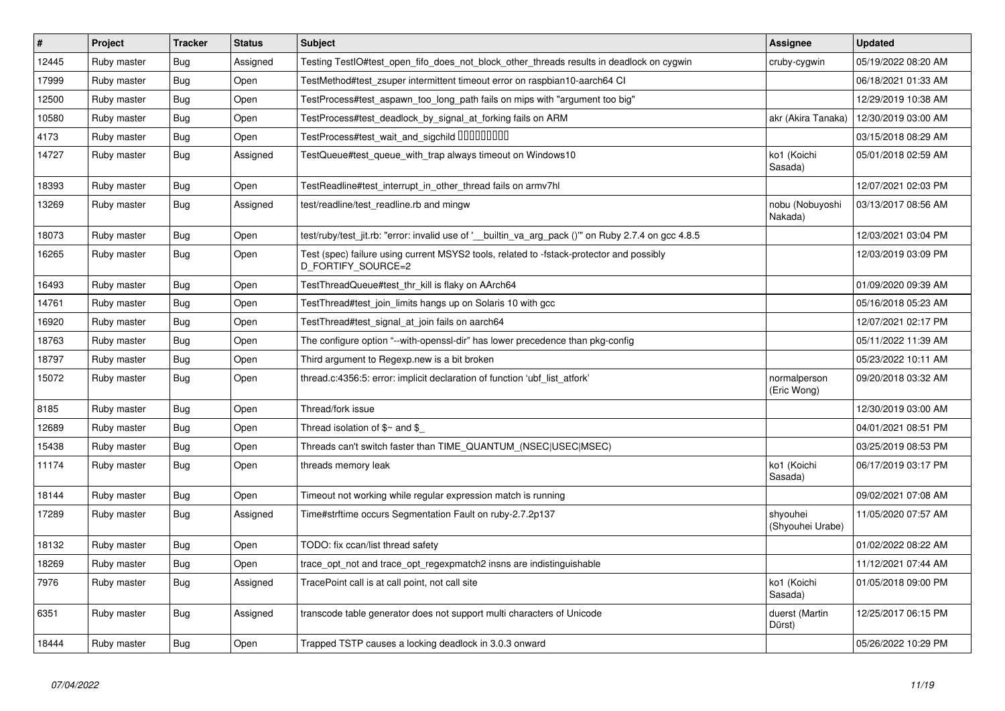| #     | Project     | <b>Tracker</b> | <b>Status</b> | <b>Subject</b>                                                                                                 | <b>Assignee</b>              | <b>Updated</b>      |
|-------|-------------|----------------|---------------|----------------------------------------------------------------------------------------------------------------|------------------------------|---------------------|
| 12445 | Ruby master | Bug            | Assigned      | Testing TestIO#test_open_fifo_does_not_block_other_threads results in deadlock on cygwin                       | cruby-cygwin                 | 05/19/2022 08:20 AM |
| 17999 | Ruby master | Bug            | Open          | TestMethod#test zsuper intermittent timeout error on raspbian10-aarch64 CI                                     |                              | 06/18/2021 01:33 AM |
| 12500 | Ruby master | Bug            | Open          | TestProcess#test_aspawn_too_long_path fails on mips with "argument too big"                                    |                              | 12/29/2019 10:38 AM |
| 10580 | Ruby master | Bug            | Open          | TestProcess#test_deadlock_by_signal_at_forking fails on ARM                                                    | akr (Akira Tanaka)           | 12/30/2019 03:00 AM |
| 4173  | Ruby master | Bug            | Open          | TestProcess#test wait and sigchild DDDDDDDD                                                                    |                              | 03/15/2018 08:29 AM |
| 14727 | Ruby master | Bug            | Assigned      | TestQueue#test queue with trap always timeout on Windows10                                                     | ko1 (Koichi<br>Sasada)       | 05/01/2018 02:59 AM |
| 18393 | Ruby master | Bug            | Open          | TestReadline#test interrupt in other thread fails on armv7hl                                                   |                              | 12/07/2021 02:03 PM |
| 13269 | Ruby master | <b>Bug</b>     | Assigned      | test/readline/test readline.rb and mingw                                                                       | nobu (Nobuyoshi<br>Nakada)   | 03/13/2017 08:56 AM |
| 18073 | Ruby master | Bug            | Open          | test/ruby/test_jit.rb: "error: invalid use of '_builtin_va_arg_pack ()"" on Ruby 2.7.4 on gcc 4.8.5            |                              | 12/03/2021 03:04 PM |
| 16265 | Ruby master | Bug            | Open          | Test (spec) failure using current MSYS2 tools, related to -fstack-protector and possibly<br>D FORTIFY SOURCE=2 |                              | 12/03/2019 03:09 PM |
| 16493 | Ruby master | Bug            | Open          | TestThreadQueue#test_thr_kill is flaky on AArch64                                                              |                              | 01/09/2020 09:39 AM |
| 14761 | Ruby master | Bug            | Open          | TestThread#test join limits hangs up on Solaris 10 with gcc                                                    |                              | 05/16/2018 05:23 AM |
| 16920 | Ruby master | Bug            | Open          | TestThread#test_signal_at_join fails on aarch64                                                                |                              | 12/07/2021 02:17 PM |
| 18763 | Ruby master | Bug            | Open          | The configure option "--with-openssl-dir" has lower precedence than pkg-config                                 |                              | 05/11/2022 11:39 AM |
| 18797 | Ruby master | Bug            | Open          | Third argument to Regexp.new is a bit broken                                                                   |                              | 05/23/2022 10:11 AM |
| 15072 | Ruby master | Bug            | Open          | thread.c:4356:5: error: implicit declaration of function 'ubf list atfork'                                     | normalperson<br>(Eric Wong)  | 09/20/2018 03:32 AM |
| 8185  | Ruby master | Bug            | Open          | Thread/fork issue                                                                                              |                              | 12/30/2019 03:00 AM |
| 12689 | Ruby master | Bug            | Open          | Thread isolation of $$~$ and \$                                                                                |                              | 04/01/2021 08:51 PM |
| 15438 | Ruby master | Bug            | Open          | Threads can't switch faster than TIME_QUANTUM_(NSEC USEC MSEC)                                                 |                              | 03/25/2019 08:53 PM |
| 11174 | Ruby master | Bug            | Open          | threads memory leak                                                                                            | ko1 (Koichi<br>Sasada)       | 06/17/2019 03:17 PM |
| 18144 | Ruby master | Bug            | Open          | Timeout not working while regular expression match is running                                                  |                              | 09/02/2021 07:08 AM |
| 17289 | Ruby master | Bug            | Assigned      | Time#strftime occurs Segmentation Fault on ruby-2.7.2p137                                                      | shyouhei<br>(Shyouhei Urabe) | 11/05/2020 07:57 AM |
| 18132 | Ruby master | Bug            | Open          | TODO: fix ccan/list thread safety                                                                              |                              | 01/02/2022 08:22 AM |
| 18269 | Ruby master | Bug            | Open          | trace_opt_not and trace_opt_regexpmatch2 insns are indistinguishable                                           |                              | 11/12/2021 07:44 AM |
| 7976  | Ruby master | Bug            | Assigned      | TracePoint call is at call point, not call site                                                                | ko1 (Koichi<br>Sasada)       | 01/05/2018 09:00 PM |
| 6351  | Ruby master | Bug            | Assigned      | transcode table generator does not support multi characters of Unicode                                         | duerst (Martin<br>Dürst)     | 12/25/2017 06:15 PM |
| 18444 | Ruby master | Bug            | Open          | Trapped TSTP causes a locking deadlock in 3.0.3 onward                                                         |                              | 05/26/2022 10:29 PM |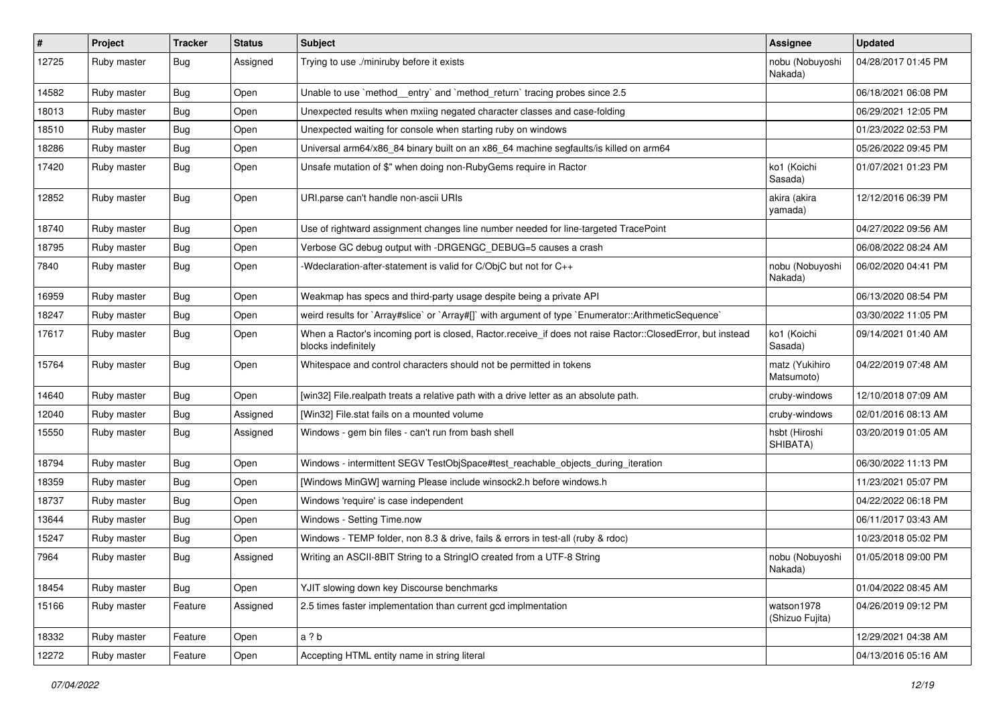| #     | Project     | <b>Tracker</b> | <b>Status</b> | Subject                                                                                                                           | Assignee                      | <b>Updated</b>      |
|-------|-------------|----------------|---------------|-----------------------------------------------------------------------------------------------------------------------------------|-------------------------------|---------------------|
| 12725 | Ruby master | Bug            | Assigned      | Trying to use ./miniruby before it exists                                                                                         | nobu (Nobuyoshi<br>Nakada)    | 04/28/2017 01:45 PM |
| 14582 | Ruby master | <b>Bug</b>     | Open          | Unable to use `method entry` and `method return` tracing probes since 2.5                                                         |                               | 06/18/2021 06:08 PM |
| 18013 | Ruby master | <b>Bug</b>     | Open          | Unexpected results when mxiing negated character classes and case-folding                                                         |                               | 06/29/2021 12:05 PM |
| 18510 | Ruby master | <b>Bug</b>     | Open          | Unexpected waiting for console when starting ruby on windows                                                                      |                               | 01/23/2022 02:53 PM |
| 18286 | Ruby master | <b>Bug</b>     | Open          | Universal arm64/x86_84 binary built on an x86_64 machine segfaults/is killed on arm64                                             |                               | 05/26/2022 09:45 PM |
| 17420 | Ruby master | Bug            | Open          | Unsafe mutation of \$" when doing non-RubyGems require in Ractor                                                                  | ko1 (Koichi<br>Sasada)        | 01/07/2021 01:23 PM |
| 12852 | Ruby master | <b>Bug</b>     | Open          | URI.parse can't handle non-ascii URIs                                                                                             | akira (akira<br>yamada)       | 12/12/2016 06:39 PM |
| 18740 | Ruby master | <b>Bug</b>     | Open          | Use of rightward assignment changes line number needed for line-targeted TracePoint                                               |                               | 04/27/2022 09:56 AM |
| 18795 | Ruby master | <b>Bug</b>     | Open          | Verbose GC debug output with -DRGENGC_DEBUG=5 causes a crash                                                                      |                               | 06/08/2022 08:24 AM |
| 7840  | Ruby master | <b>Bug</b>     | Open          | -Wdeclaration-after-statement is valid for C/ObjC but not for C++                                                                 | nobu (Nobuyoshi<br>Nakada)    | 06/02/2020 04:41 PM |
| 16959 | Ruby master | Bug            | Open          | Weakmap has specs and third-party usage despite being a private API                                                               |                               | 06/13/2020 08:54 PM |
| 18247 | Ruby master | <b>Bug</b>     | Open          | weird results for `Array#slice` or `Array#[]` with argument of type `Enumerator::ArithmeticSequence`                              |                               | 03/30/2022 11:05 PM |
| 17617 | Ruby master | Bug            | Open          | When a Ractor's incoming port is closed, Ractor.receive_if does not raise Ractor::ClosedError, but instead<br>blocks indefinitely | ko1 (Koichi<br>Sasada)        | 09/14/2021 01:40 AM |
| 15764 | Ruby master | Bug            | Open          | Whitespace and control characters should not be permitted in tokens                                                               | matz (Yukihiro<br>Matsumoto)  | 04/22/2019 07:48 AM |
| 14640 | Ruby master | Bug            | Open          | [win32] File.realpath treats a relative path with a drive letter as an absolute path.                                             | cruby-windows                 | 12/10/2018 07:09 AM |
| 12040 | Ruby master | <b>Bug</b>     | Assigned      | [Win32] File.stat fails on a mounted volume                                                                                       | cruby-windows                 | 02/01/2016 08:13 AM |
| 15550 | Ruby master | Bug            | Assigned      | Windows - gem bin files - can't run from bash shell                                                                               | hsbt (Hiroshi<br>SHIBATA)     | 03/20/2019 01:05 AM |
| 18794 | Ruby master | Bug            | Open          | Windows - intermittent SEGV TestObjSpace#test_reachable_objects_during_iteration                                                  |                               | 06/30/2022 11:13 PM |
| 18359 | Ruby master | <b>Bug</b>     | Open          | [Windows MinGW] warning Please include winsock2.h before windows.h                                                                |                               | 11/23/2021 05:07 PM |
| 18737 | Ruby master | <b>Bug</b>     | Open          | Windows 'require' is case independent                                                                                             |                               | 04/22/2022 06:18 PM |
| 13644 | Ruby master | Bug            | Open          | Windows - Setting Time.now                                                                                                        |                               | 06/11/2017 03:43 AM |
| 15247 | Ruby master | <b>Bug</b>     | Open          | Windows - TEMP folder, non 8.3 & drive, fails & errors in test-all (ruby & rdoc)                                                  |                               | 10/23/2018 05:02 PM |
| 7964  | Ruby master | <b>Bug</b>     | Assigned      | Writing an ASCII-8BIT String to a StringIO created from a UTF-8 String                                                            | nobu (Nobuyoshi<br>Nakada)    | 01/05/2018 09:00 PM |
| 18454 | Ruby master | Bug            | Open          | YJIT slowing down key Discourse benchmarks                                                                                        |                               | 01/04/2022 08:45 AM |
| 15166 | Ruby master | Feature        | Assigned      | 2.5 times faster implementation than current gcd implmentation                                                                    | watson1978<br>(Shizuo Fujita) | 04/26/2019 09:12 PM |
| 18332 | Ruby master | Feature        | Open          | a ? b                                                                                                                             |                               | 12/29/2021 04:38 AM |
| 12272 | Ruby master | Feature        | Open          | Accepting HTML entity name in string literal                                                                                      |                               | 04/13/2016 05:16 AM |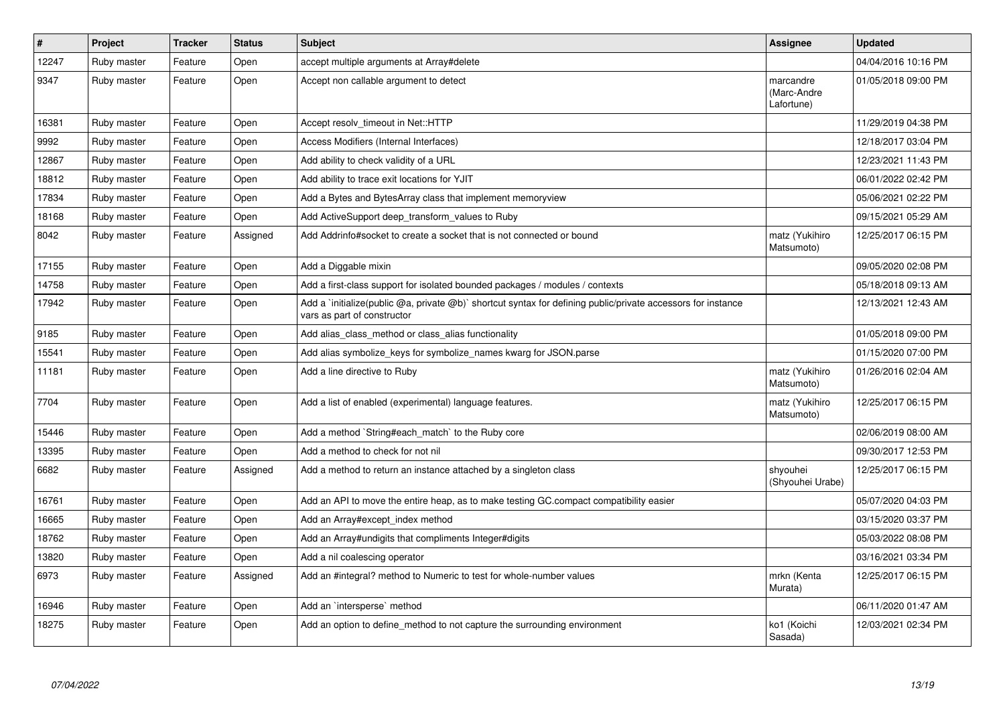| $\vert$ # | Project     | <b>Tracker</b> | <b>Status</b> | <b>Subject</b>                                                                                                                              | Assignee                               | <b>Updated</b>      |
|-----------|-------------|----------------|---------------|---------------------------------------------------------------------------------------------------------------------------------------------|----------------------------------------|---------------------|
| 12247     | Ruby master | Feature        | Open          | accept multiple arguments at Array#delete                                                                                                   |                                        | 04/04/2016 10:16 PM |
| 9347      | Ruby master | Feature        | Open          | Accept non callable argument to detect                                                                                                      | marcandre<br>(Marc-Andre<br>Lafortune) | 01/05/2018 09:00 PM |
| 16381     | Ruby master | Feature        | Open          | Accept resolv timeout in Net::HTTP                                                                                                          |                                        | 11/29/2019 04:38 PM |
| 9992      | Ruby master | Feature        | Open          | Access Modifiers (Internal Interfaces)                                                                                                      |                                        | 12/18/2017 03:04 PM |
| 12867     | Ruby master | Feature        | Open          | Add ability to check validity of a URL                                                                                                      |                                        | 12/23/2021 11:43 PM |
| 18812     | Ruby master | Feature        | Open          | Add ability to trace exit locations for YJIT                                                                                                |                                        | 06/01/2022 02:42 PM |
| 17834     | Ruby master | Feature        | Open          | Add a Bytes and BytesArray class that implement memoryview                                                                                  |                                        | 05/06/2021 02:22 PM |
| 18168     | Ruby master | Feature        | Open          | Add ActiveSupport deep_transform_values to Ruby                                                                                             |                                        | 09/15/2021 05:29 AM |
| 8042      | Ruby master | Feature        | Assigned      | Add Addrinfo#socket to create a socket that is not connected or bound                                                                       | matz (Yukihiro<br>Matsumoto)           | 12/25/2017 06:15 PM |
| 17155     | Ruby master | Feature        | Open          | Add a Diggable mixin                                                                                                                        |                                        | 09/05/2020 02:08 PM |
| 14758     | Ruby master | Feature        | Open          | Add a first-class support for isolated bounded packages / modules / contexts                                                                |                                        | 05/18/2018 09:13 AM |
| 17942     | Ruby master | Feature        | Open          | Add a `initialize(public @a, private @b)` shortcut syntax for defining public/private accessors for instance<br>vars as part of constructor |                                        | 12/13/2021 12:43 AM |
| 9185      | Ruby master | Feature        | Open          | Add alias_class_method or class_alias functionality                                                                                         |                                        | 01/05/2018 09:00 PM |
| 15541     | Ruby master | Feature        | Open          | Add alias symbolize_keys for symbolize_names kwarg for JSON.parse                                                                           |                                        | 01/15/2020 07:00 PM |
| 11181     | Ruby master | Feature        | Open          | Add a line directive to Ruby                                                                                                                | matz (Yukihiro<br>Matsumoto)           | 01/26/2016 02:04 AM |
| 7704      | Ruby master | Feature        | Open          | Add a list of enabled (experimental) language features.                                                                                     | matz (Yukihiro<br>Matsumoto)           | 12/25/2017 06:15 PM |
| 15446     | Ruby master | Feature        | Open          | Add a method `String#each match` to the Ruby core                                                                                           |                                        | 02/06/2019 08:00 AM |
| 13395     | Ruby master | Feature        | Open          | Add a method to check for not nil                                                                                                           |                                        | 09/30/2017 12:53 PM |
| 6682      | Ruby master | Feature        | Assigned      | Add a method to return an instance attached by a singleton class                                                                            | shyouhei<br>(Shyouhei Urabe)           | 12/25/2017 06:15 PM |
| 16761     | Ruby master | Feature        | Open          | Add an API to move the entire heap, as to make testing GC.compact compatibility easier                                                      |                                        | 05/07/2020 04:03 PM |
| 16665     | Ruby master | Feature        | Open          | Add an Array#except index method                                                                                                            |                                        | 03/15/2020 03:37 PM |
| 18762     | Ruby master | Feature        | Open          | Add an Array#undigits that compliments Integer#digits                                                                                       |                                        | 05/03/2022 08:08 PM |
| 13820     | Ruby master | Feature        | Open          | Add a nil coalescing operator                                                                                                               |                                        | 03/16/2021 03:34 PM |
| 6973      | Ruby master | Feature        | Assigned      | Add an #integral? method to Numeric to test for whole-number values                                                                         | mrkn (Kenta<br>Murata)                 | 12/25/2017 06:15 PM |
| 16946     | Ruby master | Feature        | Open          | Add an `intersperse` method                                                                                                                 |                                        | 06/11/2020 01:47 AM |
| 18275     | Ruby master | Feature        | Open          | Add an option to define method to not capture the surrounding environment                                                                   | ko1 (Koichi<br>Sasada)                 | 12/03/2021 02:34 PM |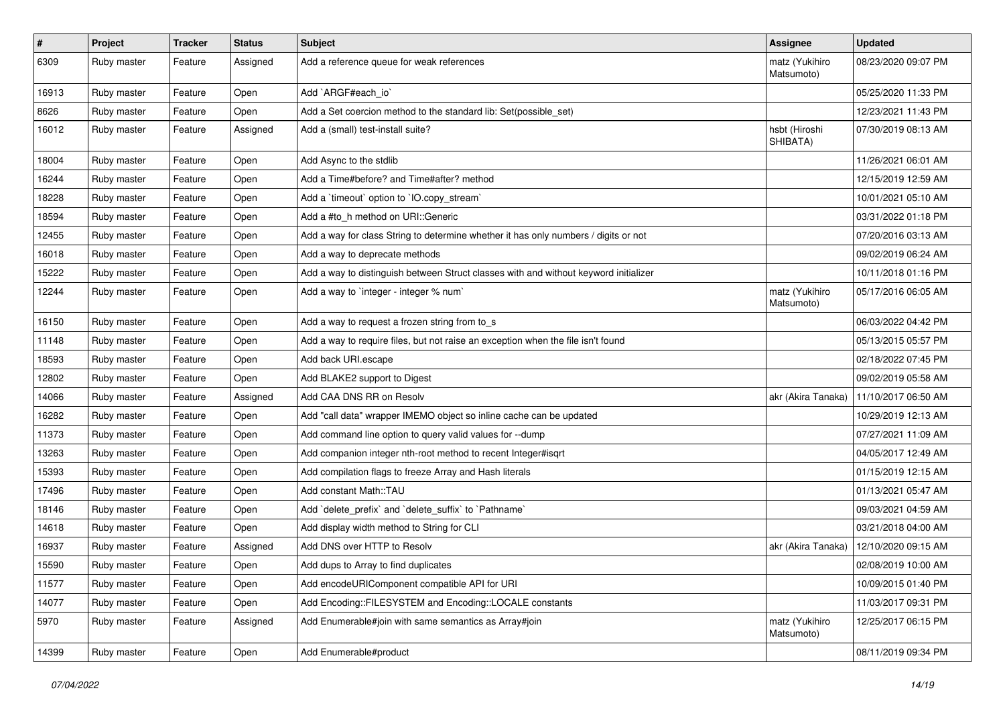| $\sharp$ | <b>Project</b> | <b>Tracker</b> | <b>Status</b> | Subject                                                                              | Assignee                     | <b>Updated</b>      |
|----------|----------------|----------------|---------------|--------------------------------------------------------------------------------------|------------------------------|---------------------|
| 6309     | Ruby master    | Feature        | Assigned      | Add a reference queue for weak references                                            | matz (Yukihiro<br>Matsumoto) | 08/23/2020 09:07 PM |
| 16913    | Ruby master    | Feature        | Open          | Add `ARGF#each_io`                                                                   |                              | 05/25/2020 11:33 PM |
| 8626     | Ruby master    | Feature        | Open          | Add a Set coercion method to the standard lib: Set (possible set)                    |                              | 12/23/2021 11:43 PM |
| 16012    | Ruby master    | Feature        | Assigned      | Add a (small) test-install suite?                                                    | hsbt (Hiroshi<br>SHIBATA)    | 07/30/2019 08:13 AM |
| 18004    | Ruby master    | Feature        | Open          | Add Async to the stdlib                                                              |                              | 11/26/2021 06:01 AM |
| 16244    | Ruby master    | Feature        | Open          | Add a Time#before? and Time#after? method                                            |                              | 12/15/2019 12:59 AM |
| 18228    | Ruby master    | Feature        | Open          | Add a 'timeout' option to 'IO.copy_stream'                                           |                              | 10/01/2021 05:10 AM |
| 18594    | Ruby master    | Feature        | Open          | Add a #to_h method on URI::Generic                                                   |                              | 03/31/2022 01:18 PM |
| 12455    | Ruby master    | Feature        | Open          | Add a way for class String to determine whether it has only numbers / digits or not  |                              | 07/20/2016 03:13 AM |
| 16018    | Ruby master    | Feature        | Open          | Add a way to deprecate methods                                                       |                              | 09/02/2019 06:24 AM |
| 15222    | Ruby master    | Feature        | Open          | Add a way to distinguish between Struct classes with and without keyword initializer |                              | 10/11/2018 01:16 PM |
| 12244    | Ruby master    | Feature        | Open          | Add a way to 'integer - integer % num'                                               | matz (Yukihiro<br>Matsumoto) | 05/17/2016 06:05 AM |
| 16150    | Ruby master    | Feature        | Open          | Add a way to request a frozen string from to_s                                       |                              | 06/03/2022 04:42 PM |
| 11148    | Ruby master    | Feature        | Open          | Add a way to require files, but not raise an exception when the file isn't found     |                              | 05/13/2015 05:57 PM |
| 18593    | Ruby master    | Feature        | Open          | Add back URI.escape                                                                  |                              | 02/18/2022 07:45 PM |
| 12802    | Ruby master    | Feature        | Open          | Add BLAKE2 support to Digest                                                         |                              | 09/02/2019 05:58 AM |
| 14066    | Ruby master    | Feature        | Assigned      | Add CAA DNS RR on Resolv                                                             | akr (Akira Tanaka)           | 11/10/2017 06:50 AM |
| 16282    | Ruby master    | Feature        | Open          | Add "call data" wrapper IMEMO object so inline cache can be updated                  |                              | 10/29/2019 12:13 AM |
| 11373    | Ruby master    | Feature        | Open          | Add command line option to query valid values for --dump                             |                              | 07/27/2021 11:09 AM |
| 13263    | Ruby master    | Feature        | Open          | Add companion integer nth-root method to recent Integer#isqrt                        |                              | 04/05/2017 12:49 AM |
| 15393    | Ruby master    | Feature        | Open          | Add compilation flags to freeze Array and Hash literals                              |                              | 01/15/2019 12:15 AM |
| 17496    | Ruby master    | Feature        | Open          | Add constant Math::TAU                                                               |                              | 01/13/2021 05:47 AM |
| 18146    | Ruby master    | Feature        | Open          | Add 'delete_prefix' and 'delete_suffix' to 'Pathname'                                |                              | 09/03/2021 04:59 AM |
| 14618    | Ruby master    | Feature        | Open          | Add display width method to String for CLI                                           |                              | 03/21/2018 04:00 AM |
| 16937    | Ruby master    | Feature        | Assigned      | Add DNS over HTTP to Resolv                                                          | akr (Akira Tanaka)           | 12/10/2020 09:15 AM |
| 15590    | Ruby master    | Feature        | Open          | Add dups to Array to find duplicates                                                 |                              | 02/08/2019 10:00 AM |
| 11577    | Ruby master    | Feature        | Open          | Add encodeURIComponent compatible API for URI                                        |                              | 10/09/2015 01:40 PM |
| 14077    | Ruby master    | Feature        | Open          | Add Encoding::FILESYSTEM and Encoding::LOCALE constants                              |                              | 11/03/2017 09:31 PM |
| 5970     | Ruby master    | Feature        | Assigned      | Add Enumerable#join with same semantics as Array#join                                | matz (Yukihiro<br>Matsumoto) | 12/25/2017 06:15 PM |
| 14399    | Ruby master    | Feature        | Open          | Add Enumerable#product                                                               |                              | 08/11/2019 09:34 PM |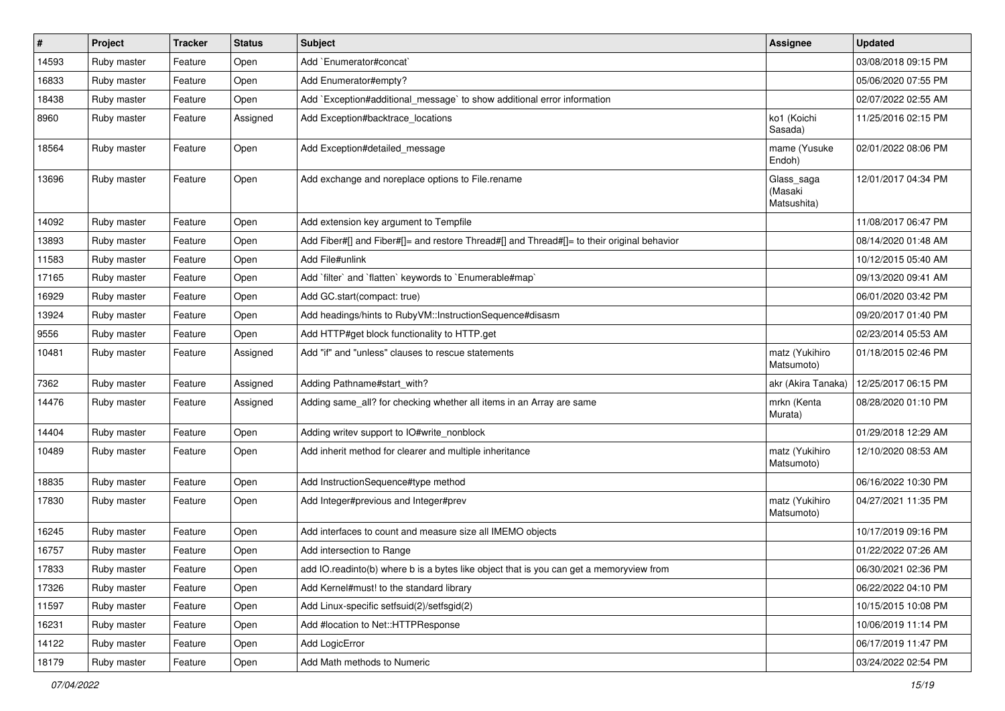| $\vert$ # | Project     | <b>Tracker</b> | <b>Status</b> | Subject                                                                                    | <b>Assignee</b>                      | <b>Updated</b>      |
|-----------|-------------|----------------|---------------|--------------------------------------------------------------------------------------------|--------------------------------------|---------------------|
| 14593     | Ruby master | Feature        | Open          | Add `Enumerator#concat`                                                                    |                                      | 03/08/2018 09:15 PM |
| 16833     | Ruby master | Feature        | Open          | Add Enumerator#empty?                                                                      |                                      | 05/06/2020 07:55 PM |
| 18438     | Ruby master | Feature        | Open          | Add `Exception#additional_message` to show additional error information                    |                                      | 02/07/2022 02:55 AM |
| 8960      | Ruby master | Feature        | Assigned      | Add Exception#backtrace_locations                                                          | ko1 (Koichi<br>Sasada)               | 11/25/2016 02:15 PM |
| 18564     | Ruby master | Feature        | Open          | Add Exception#detailed_message                                                             | mame (Yusuke<br>Endoh)               | 02/01/2022 08:06 PM |
| 13696     | Ruby master | Feature        | Open          | Add exchange and noreplace options to File.rename                                          | Glass_saga<br>(Masaki<br>Matsushita) | 12/01/2017 04:34 PM |
| 14092     | Ruby master | Feature        | Open          | Add extension key argument to Tempfile                                                     |                                      | 11/08/2017 06:47 PM |
| 13893     | Ruby master | Feature        | Open          | Add Fiber#[] and Fiber#[]= and restore Thread#[] and Thread#[]= to their original behavior |                                      | 08/14/2020 01:48 AM |
| 11583     | Ruby master | Feature        | Open          | Add File#unlink                                                                            |                                      | 10/12/2015 05:40 AM |
| 17165     | Ruby master | Feature        | Open          | Add `filter` and `flatten` keywords to `Enumerable#map`                                    |                                      | 09/13/2020 09:41 AM |
| 16929     | Ruby master | Feature        | Open          | Add GC.start(compact: true)                                                                |                                      | 06/01/2020 03:42 PM |
| 13924     | Ruby master | Feature        | Open          | Add headings/hints to RubyVM::InstructionSequence#disasm                                   |                                      | 09/20/2017 01:40 PM |
| 9556      | Ruby master | Feature        | Open          | Add HTTP#get block functionality to HTTP.get                                               |                                      | 02/23/2014 05:53 AM |
| 10481     | Ruby master | Feature        | Assigned      | Add "if" and "unless" clauses to rescue statements                                         | matz (Yukihiro<br>Matsumoto)         | 01/18/2015 02:46 PM |
| 7362      | Ruby master | Feature        | Assigned      | Adding Pathname#start_with?                                                                | akr (Akira Tanaka)                   | 12/25/2017 06:15 PM |
| 14476     | Ruby master | Feature        | Assigned      | Adding same_all? for checking whether all items in an Array are same                       | mrkn (Kenta<br>Murata)               | 08/28/2020 01:10 PM |
| 14404     | Ruby master | Feature        | Open          | Adding writev support to IO#write_nonblock                                                 |                                      | 01/29/2018 12:29 AM |
| 10489     | Ruby master | Feature        | Open          | Add inherit method for clearer and multiple inheritance                                    | matz (Yukihiro<br>Matsumoto)         | 12/10/2020 08:53 AM |
| 18835     | Ruby master | Feature        | Open          | Add InstructionSequence#type method                                                        |                                      | 06/16/2022 10:30 PM |
| 17830     | Ruby master | Feature        | Open          | Add Integer#previous and Integer#prev                                                      | matz (Yukihiro<br>Matsumoto)         | 04/27/2021 11:35 PM |
| 16245     | Ruby master | Feature        | Open          | Add interfaces to count and measure size all IMEMO objects                                 |                                      | 10/17/2019 09:16 PM |
| 16757     | Ruby master | Feature        | Open          | Add intersection to Range                                                                  |                                      | 01/22/2022 07:26 AM |
| 17833     | Ruby master | Feature        | Open          | add IO.readinto(b) where b is a bytes like object that is you can get a memoryview from    |                                      | 06/30/2021 02:36 PM |
| 17326     | Ruby master | Feature        | Open          | Add Kernel#must! to the standard library                                                   |                                      | 06/22/2022 04:10 PM |
| 11597     | Ruby master | Feature        | Open          | Add Linux-specific setfsuid(2)/setfsgid(2)                                                 |                                      | 10/15/2015 10:08 PM |
| 16231     | Ruby master | Feature        | Open          | Add #location to Net::HTTPResponse                                                         |                                      | 10/06/2019 11:14 PM |
| 14122     | Ruby master | Feature        | Open          | Add LogicError                                                                             |                                      | 06/17/2019 11:47 PM |
| 18179     | Ruby master | Feature        | Open          | Add Math methods to Numeric                                                                |                                      | 03/24/2022 02:54 PM |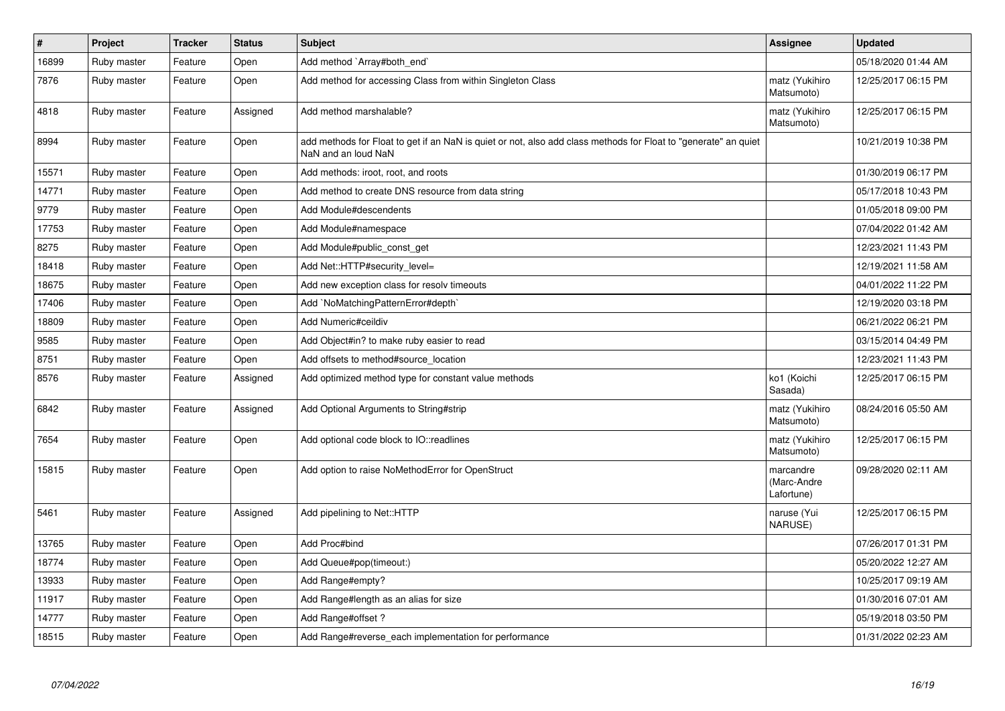| $\vert$ # | Project     | <b>Tracker</b> | <b>Status</b> | <b>Subject</b>                                                                                                                         | Assignee                               | <b>Updated</b>      |
|-----------|-------------|----------------|---------------|----------------------------------------------------------------------------------------------------------------------------------------|----------------------------------------|---------------------|
| 16899     | Ruby master | Feature        | Open          | Add method `Array#both_end`                                                                                                            |                                        | 05/18/2020 01:44 AM |
| 7876      | Ruby master | Feature        | Open          | Add method for accessing Class from within Singleton Class                                                                             | matz (Yukihiro<br>Matsumoto)           | 12/25/2017 06:15 PM |
| 4818      | Ruby master | Feature        | Assigned      | Add method marshalable?                                                                                                                | matz (Yukihiro<br>Matsumoto)           | 12/25/2017 06:15 PM |
| 8994      | Ruby master | Feature        | Open          | add methods for Float to get if an NaN is quiet or not, also add class methods for Float to "generate" an quiet<br>NaN and an loud NaN |                                        | 10/21/2019 10:38 PM |
| 15571     | Ruby master | Feature        | Open          | Add methods: iroot, root, and roots                                                                                                    |                                        | 01/30/2019 06:17 PM |
| 14771     | Ruby master | Feature        | Open          | Add method to create DNS resource from data string                                                                                     |                                        | 05/17/2018 10:43 PM |
| 9779      | Ruby master | Feature        | Open          | Add Module#descendents                                                                                                                 |                                        | 01/05/2018 09:00 PM |
| 17753     | Ruby master | Feature        | Open          | Add Module#namespace                                                                                                                   |                                        | 07/04/2022 01:42 AM |
| 8275      | Ruby master | Feature        | Open          | Add Module#public_const_get                                                                                                            |                                        | 12/23/2021 11:43 PM |
| 18418     | Ruby master | Feature        | Open          | Add Net::HTTP#security level=                                                                                                          |                                        | 12/19/2021 11:58 AM |
| 18675     | Ruby master | Feature        | Open          | Add new exception class for resolv timeouts                                                                                            |                                        | 04/01/2022 11:22 PM |
| 17406     | Ruby master | Feature        | Open          | Add `NoMatchingPatternError#depth`                                                                                                     |                                        | 12/19/2020 03:18 PM |
| 18809     | Ruby master | Feature        | Open          | Add Numeric#ceildiv                                                                                                                    |                                        | 06/21/2022 06:21 PM |
| 9585      | Ruby master | Feature        | Open          | Add Object#in? to make ruby easier to read                                                                                             |                                        | 03/15/2014 04:49 PM |
| 8751      | Ruby master | Feature        | Open          | Add offsets to method#source location                                                                                                  |                                        | 12/23/2021 11:43 PM |
| 8576      | Ruby master | Feature        | Assigned      | Add optimized method type for constant value methods                                                                                   | ko1 (Koichi<br>Sasada)                 | 12/25/2017 06:15 PM |
| 6842      | Ruby master | Feature        | Assigned      | Add Optional Arguments to String#strip                                                                                                 | matz (Yukihiro<br>Matsumoto)           | 08/24/2016 05:50 AM |
| 7654      | Ruby master | Feature        | Open          | Add optional code block to IO::readlines                                                                                               | matz (Yukihiro<br>Matsumoto)           | 12/25/2017 06:15 PM |
| 15815     | Ruby master | Feature        | Open          | Add option to raise NoMethodError for OpenStruct                                                                                       | marcandre<br>(Marc-Andre<br>Lafortune) | 09/28/2020 02:11 AM |
| 5461      | Ruby master | Feature        | Assigned      | Add pipelining to Net::HTTP                                                                                                            | naruse (Yui<br>NARUSE)                 | 12/25/2017 06:15 PM |
| 13765     | Ruby master | Feature        | Open          | Add Proc#bind                                                                                                                          |                                        | 07/26/2017 01:31 PM |
| 18774     | Ruby master | Feature        | Open          | Add Queue#pop(timeout:)                                                                                                                |                                        | 05/20/2022 12:27 AM |
| 13933     | Ruby master | Feature        | Open          | Add Range#empty?                                                                                                                       |                                        | 10/25/2017 09:19 AM |
| 11917     | Ruby master | Feature        | Open          | Add Range#length as an alias for size                                                                                                  |                                        | 01/30/2016 07:01 AM |
| 14777     | Ruby master | Feature        | Open          | Add Range#offset?                                                                                                                      |                                        | 05/19/2018 03:50 PM |
| 18515     | Ruby master | Feature        | Open          | Add Range#reverse_each implementation for performance                                                                                  |                                        | 01/31/2022 02:23 AM |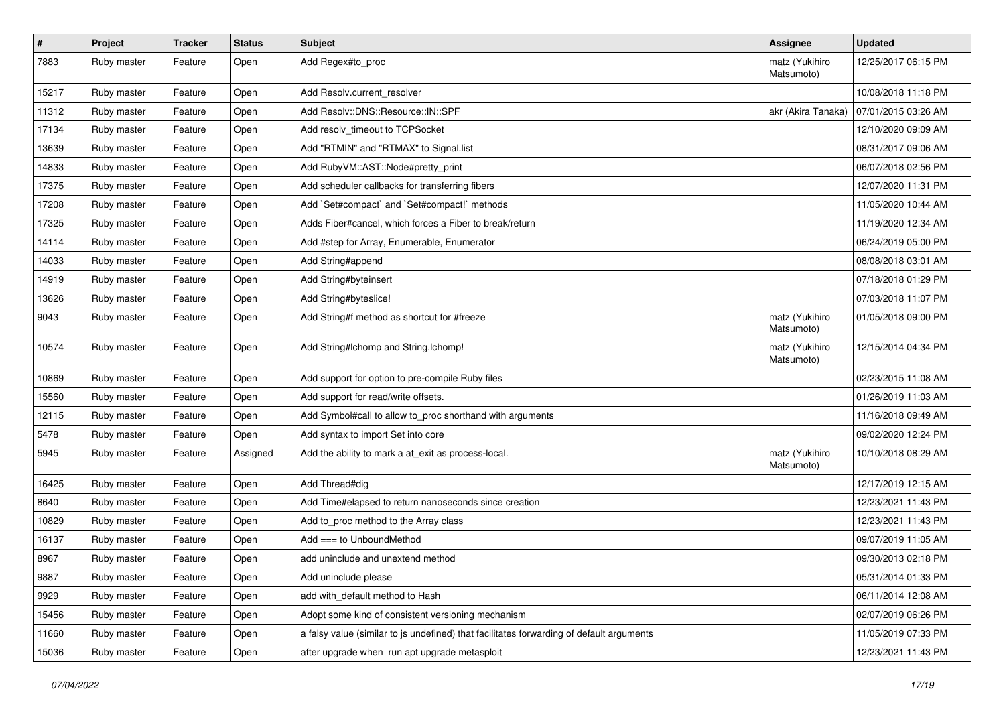| #     | Project     | <b>Tracker</b> | <b>Status</b> | <b>Subject</b>                                                                           | <b>Assignee</b>              | <b>Updated</b>      |
|-------|-------------|----------------|---------------|------------------------------------------------------------------------------------------|------------------------------|---------------------|
| 7883  | Ruby master | Feature        | Open          | Add Regex#to_proc                                                                        | matz (Yukihiro<br>Matsumoto) | 12/25/2017 06:15 PM |
| 15217 | Ruby master | Feature        | Open          | Add Resolv.current resolver                                                              |                              | 10/08/2018 11:18 PM |
| 11312 | Ruby master | Feature        | Open          | Add Resolv::DNS::Resource::IN::SPF                                                       | akr (Akira Tanaka)           | 07/01/2015 03:26 AM |
| 17134 | Ruby master | Feature        | Open          | Add resolv_timeout to TCPSocket                                                          |                              | 12/10/2020 09:09 AM |
| 13639 | Ruby master | Feature        | Open          | Add "RTMIN" and "RTMAX" to Signal.list                                                   |                              | 08/31/2017 09:06 AM |
| 14833 | Ruby master | Feature        | Open          | Add Ruby VM:: AST:: Node#pretty_print                                                    |                              | 06/07/2018 02:56 PM |
| 17375 | Ruby master | Feature        | Open          | Add scheduler callbacks for transferring fibers                                          |                              | 12/07/2020 11:31 PM |
| 17208 | Ruby master | Feature        | Open          | Add `Set#compact` and `Set#compact!` methods                                             |                              | 11/05/2020 10:44 AM |
| 17325 | Ruby master | Feature        | Open          | Adds Fiber#cancel, which forces a Fiber to break/return                                  |                              | 11/19/2020 12:34 AM |
| 14114 | Ruby master | Feature        | Open          | Add #step for Array, Enumerable, Enumerator                                              |                              | 06/24/2019 05:00 PM |
| 14033 | Ruby master | Feature        | Open          | Add String#append                                                                        |                              | 08/08/2018 03:01 AM |
| 14919 | Ruby master | Feature        | Open          | Add String#byteinsert                                                                    |                              | 07/18/2018 01:29 PM |
| 13626 | Ruby master | Feature        | Open          | Add String#byteslice!                                                                    |                              | 07/03/2018 11:07 PM |
| 9043  | Ruby master | Feature        | Open          | Add String#f method as shortcut for #freeze                                              | matz (Yukihiro<br>Matsumoto) | 01/05/2018 09:00 PM |
| 10574 | Ruby master | Feature        | Open          | Add String#Ichomp and String.Ichomp!                                                     | matz (Yukihiro<br>Matsumoto) | 12/15/2014 04:34 PM |
| 10869 | Ruby master | Feature        | Open          | Add support for option to pre-compile Ruby files                                         |                              | 02/23/2015 11:08 AM |
| 15560 | Ruby master | Feature        | Open          | Add support for read/write offsets.                                                      |                              | 01/26/2019 11:03 AM |
| 12115 | Ruby master | Feature        | Open          | Add Symbol#call to allow to_proc shorthand with arguments                                |                              | 11/16/2018 09:49 AM |
| 5478  | Ruby master | Feature        | Open          | Add syntax to import Set into core                                                       |                              | 09/02/2020 12:24 PM |
| 5945  | Ruby master | Feature        | Assigned      | Add the ability to mark a at_exit as process-local.                                      | matz (Yukihiro<br>Matsumoto) | 10/10/2018 08:29 AM |
| 16425 | Ruby master | Feature        | Open          | Add Thread#dig                                                                           |                              | 12/17/2019 12:15 AM |
| 8640  | Ruby master | Feature        | Open          | Add Time#elapsed to return nanoseconds since creation                                    |                              | 12/23/2021 11:43 PM |
| 10829 | Ruby master | Feature        | Open          | Add to proc method to the Array class                                                    |                              | 12/23/2021 11:43 PM |
| 16137 | Ruby master | Feature        | Open          | Add $==$ to UnboundMethod                                                                |                              | 09/07/2019 11:05 AM |
| 8967  | Ruby master | Feature        | Open          | add uninclude and unextend method                                                        |                              | 09/30/2013 02:18 PM |
| 9887  | Ruby master | Feature        | Open          | Add uninclude please                                                                     |                              | 05/31/2014 01:33 PM |
| 9929  | Ruby master | Feature        | Open          | add with_default method to Hash                                                          |                              | 06/11/2014 12:08 AM |
| 15456 | Ruby master | Feature        | Open          | Adopt some kind of consistent versioning mechanism                                       |                              | 02/07/2019 06:26 PM |
| 11660 | Ruby master | Feature        | Open          | a falsy value (similar to js undefined) that facilitates forwarding of default arguments |                              | 11/05/2019 07:33 PM |
| 15036 | Ruby master | Feature        | Open          | after upgrade when run apt upgrade metasploit                                            |                              | 12/23/2021 11:43 PM |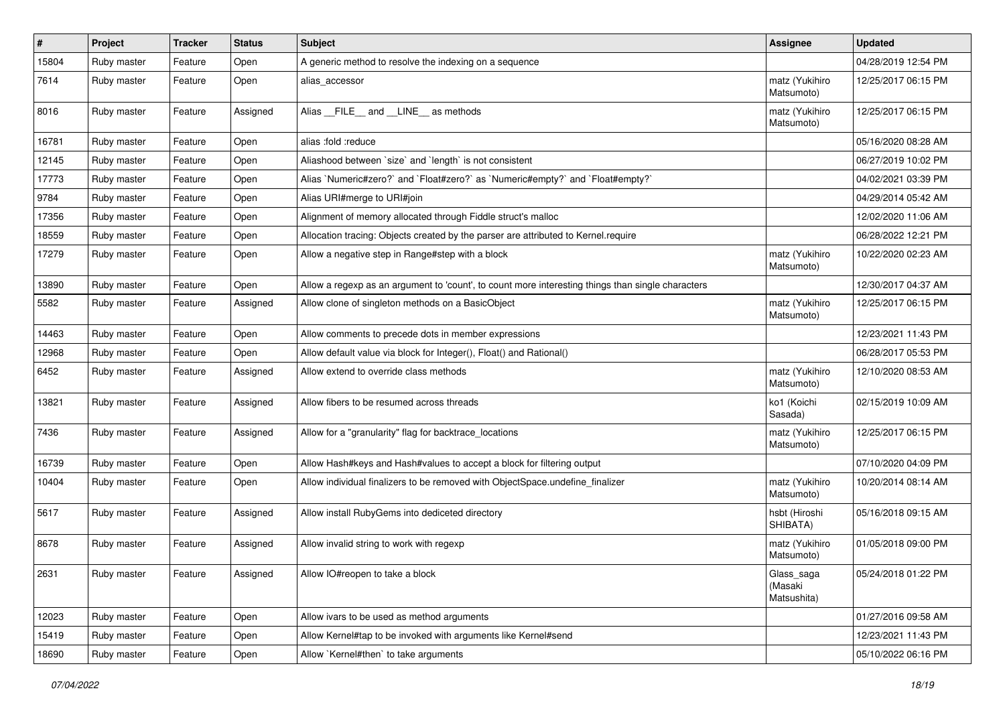| $\vert$ # | Project     | <b>Tracker</b> | <b>Status</b> | Subject                                                                                           | <b>Assignee</b>                      | <b>Updated</b>      |
|-----------|-------------|----------------|---------------|---------------------------------------------------------------------------------------------------|--------------------------------------|---------------------|
| 15804     | Ruby master | Feature        | Open          | A generic method to resolve the indexing on a sequence                                            |                                      | 04/28/2019 12:54 PM |
| 7614      | Ruby master | Feature        | Open          | alias accessor                                                                                    | matz (Yukihiro<br>Matsumoto)         | 12/25/2017 06:15 PM |
| 8016      | Ruby master | Feature        | Assigned      | Alias FILE and LINE as methods                                                                    | matz (Yukihiro<br>Matsumoto)         | 12/25/2017 06:15 PM |
| 16781     | Ruby master | Feature        | Open          | alias :fold :reduce                                                                               |                                      | 05/16/2020 08:28 AM |
| 12145     | Ruby master | Feature        | Open          | Aliashood between `size` and `length` is not consistent                                           |                                      | 06/27/2019 10:02 PM |
| 17773     | Ruby master | Feature        | Open          | Alias `Numeric#zero?` and `Float#zero?` as `Numeric#empty?` and `Float#empty?`                    |                                      | 04/02/2021 03:39 PM |
| 9784      | Ruby master | Feature        | Open          | Alias URI#merge to URI#join                                                                       |                                      | 04/29/2014 05:42 AM |
| 17356     | Ruby master | Feature        | Open          | Alignment of memory allocated through Fiddle struct's malloc                                      |                                      | 12/02/2020 11:06 AM |
| 18559     | Ruby master | Feature        | Open          | Allocation tracing: Objects created by the parser are attributed to Kernel.require                |                                      | 06/28/2022 12:21 PM |
| 17279     | Ruby master | Feature        | Open          | Allow a negative step in Range#step with a block                                                  | matz (Yukihiro<br>Matsumoto)         | 10/22/2020 02:23 AM |
| 13890     | Ruby master | Feature        | Open          | Allow a regexp as an argument to 'count', to count more interesting things than single characters |                                      | 12/30/2017 04:37 AM |
| 5582      | Ruby master | Feature        | Assigned      | Allow clone of singleton methods on a BasicObject                                                 | matz (Yukihiro<br>Matsumoto)         | 12/25/2017 06:15 PM |
| 14463     | Ruby master | Feature        | Open          | Allow comments to precede dots in member expressions                                              |                                      | 12/23/2021 11:43 PM |
| 12968     | Ruby master | Feature        | Open          | Allow default value via block for Integer(), Float() and Rational()                               |                                      | 06/28/2017 05:53 PM |
| 6452      | Ruby master | Feature        | Assigned      | Allow extend to override class methods                                                            | matz (Yukihiro<br>Matsumoto)         | 12/10/2020 08:53 AM |
| 13821     | Ruby master | Feature        | Assigned      | Allow fibers to be resumed across threads                                                         | ko1 (Koichi<br>Sasada)               | 02/15/2019 10:09 AM |
| 7436      | Ruby master | Feature        | Assigned      | Allow for a "granularity" flag for backtrace_locations                                            | matz (Yukihiro<br>Matsumoto)         | 12/25/2017 06:15 PM |
| 16739     | Ruby master | Feature        | Open          | Allow Hash#keys and Hash#values to accept a block for filtering output                            |                                      | 07/10/2020 04:09 PM |
| 10404     | Ruby master | Feature        | Open          | Allow individual finalizers to be removed with ObjectSpace.undefine_finalizer                     | matz (Yukihiro<br>Matsumoto)         | 10/20/2014 08:14 AM |
| 5617      | Ruby master | Feature        | Assigned      | Allow install RubyGems into dediceted directory                                                   | hsbt (Hiroshi<br>SHIBATA)            | 05/16/2018 09:15 AM |
| 8678      | Ruby master | Feature        | Assigned      | Allow invalid string to work with regexp                                                          | matz (Yukihiro<br>Matsumoto)         | 01/05/2018 09:00 PM |
| 2631      | Ruby master | Feature        | Assigned      | Allow IO#reopen to take a block                                                                   | Glass_saga<br>(Masaki<br>Matsushita) | 05/24/2018 01:22 PM |
| 12023     | Ruby master | Feature        | Open          | Allow ivars to be used as method arguments                                                        |                                      | 01/27/2016 09:58 AM |
| 15419     | Ruby master | Feature        | Open          | Allow Kernel#tap to be invoked with arguments like Kernel#send                                    |                                      | 12/23/2021 11:43 PM |
| 18690     | Ruby master | Feature        | Open          | Allow `Kernel#then` to take arguments                                                             |                                      | 05/10/2022 06:16 PM |